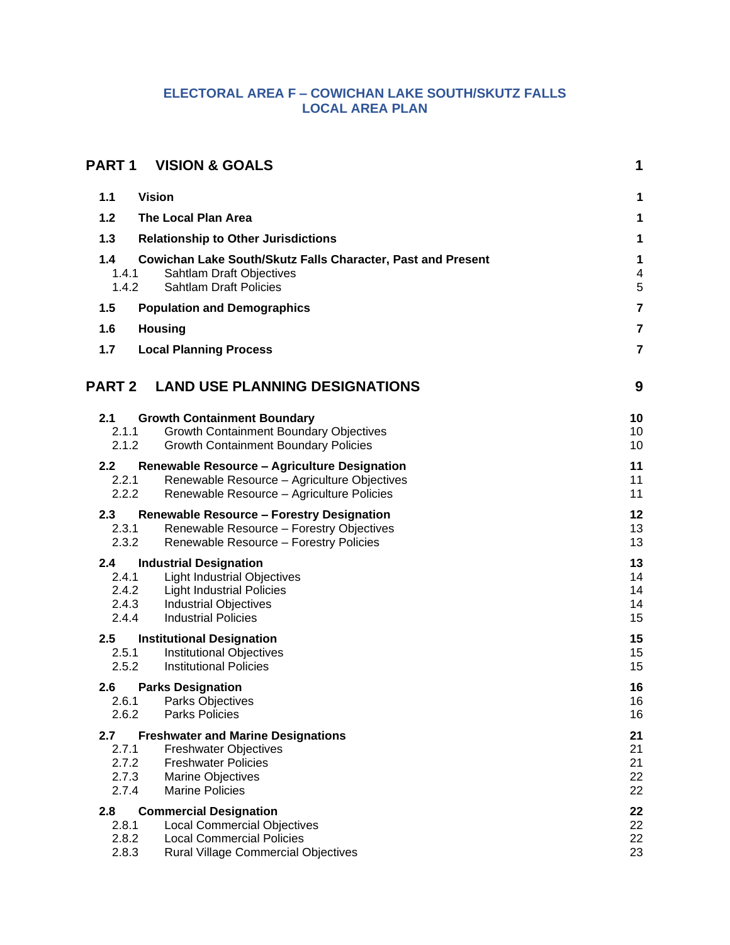## **ELECTORAL AREA F – COWICHAN LAKE SOUTH/SKUTZ FALLS LOCAL AREA PLAN**

| PART 1                    | <b>VISION &amp; GOALS</b>                                                                   | 1                        |
|---------------------------|---------------------------------------------------------------------------------------------|--------------------------|
| <b>Vision</b><br>1.1      |                                                                                             | 1                        |
| $1.2$                     | The Local Plan Area                                                                         | 1                        |
| 1.3                       | <b>Relationship to Other Jurisdictions</b>                                                  | 1                        |
| 1.4                       | Cowichan Lake South/Skutz Falls Character, Past and Present                                 | 1                        |
| 1.4.1                     | Sahtlam Draft Objectives                                                                    | $\overline{\mathcal{A}}$ |
| 1.4.2                     | <b>Sahtlam Draft Policies</b>                                                               | 5                        |
| $1.5$                     | <b>Population and Demographics</b>                                                          | $\overline{7}$           |
| 1.6<br><b>Housing</b>     |                                                                                             | $\overline{7}$           |
| 1.7                       | <b>Local Planning Process</b>                                                               | $\overline{7}$           |
| <b>PART 2</b>             | <b>LAND USE PLANNING DESIGNATIONS</b>                                                       | 9                        |
| 2.1                       | <b>Growth Containment Boundary</b>                                                          | 10                       |
| 2.1.1                     | <b>Growth Containment Boundary Objectives</b>                                               | 10                       |
| 2.1.2                     | <b>Growth Containment Boundary Policies</b>                                                 | 10                       |
| 2.2 <sub>2</sub><br>2.2.1 | Renewable Resource - Agriculture Designation<br>Renewable Resource - Agriculture Objectives | 11<br>11                 |
| 2.2.2                     | Renewable Resource - Agriculture Policies                                                   | 11                       |
| 2.3                       | <b>Renewable Resource - Forestry Designation</b>                                            | 12                       |
| 2.3.1<br>2.3.2            | Renewable Resource - Forestry Objectives<br>Renewable Resource - Forestry Policies          | 13<br>13                 |
| 2.4                       |                                                                                             | 13                       |
| 2.4.1                     | <b>Industrial Designation</b><br><b>Light Industrial Objectives</b>                         | 14                       |
| 2.4.2                     | <b>Light Industrial Policies</b>                                                            | 14                       |
| 2.4.3<br>2.4.4            | <b>Industrial Objectives</b><br><b>Industrial Policies</b>                                  | 14<br>15                 |
| $2.5\,$                   | <b>Institutional Designation</b>                                                            | 15                       |
| 2.5.1                     | <b>Institutional Objectives</b>                                                             | 15                       |
| 2.5.2                     | <b>Institutional Policies</b>                                                               | 15                       |
| 2.6                       | <b>Parks Designation</b>                                                                    | 16                       |
| 2.6.1<br>2.6.2            | Parks Objectives<br><b>Parks Policies</b>                                                   | 16<br>16                 |
| 2.7                       | <b>Freshwater and Marine Designations</b>                                                   | 21                       |
| 2.7.1                     | <b>Freshwater Objectives</b>                                                                | 21                       |
| 2.7.2<br>2.7.3            | <b>Freshwater Policies</b><br><b>Marine Objectives</b>                                      | 21<br>22                 |
| 2.7.4                     | <b>Marine Policies</b>                                                                      | 22                       |
| 2.8                       | <b>Commercial Designation</b>                                                               | 22                       |
| 2.8.1<br>2.8.2            | <b>Local Commercial Objectives</b>                                                          | 22                       |
| 2.8.3                     | <b>Local Commercial Policies</b><br><b>Rural Village Commercial Objectives</b>              | 22<br>23                 |
|                           |                                                                                             |                          |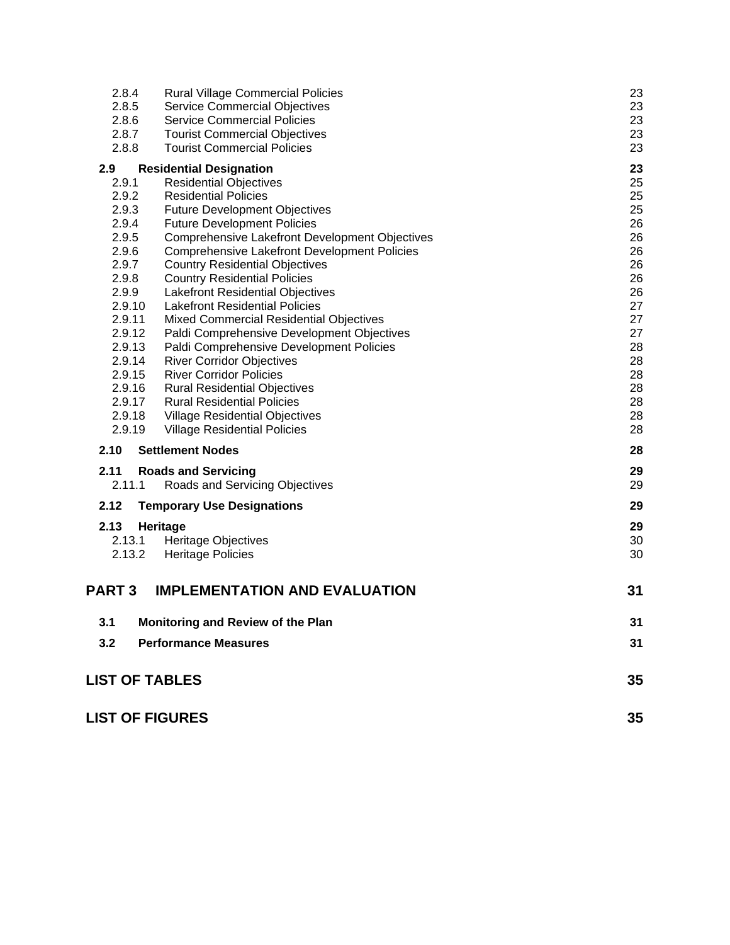| 2.8.4                  | <b>Rural Village Commercial Policies</b>                                                              | 23       |
|------------------------|-------------------------------------------------------------------------------------------------------|----------|
| 2.8.5<br>2.8.6         | <b>Service Commercial Objectives</b><br><b>Service Commercial Policies</b>                            | 23<br>23 |
| 2.8.7                  | <b>Tourist Commercial Objectives</b>                                                                  | 23       |
| 2.8.8                  | <b>Tourist Commercial Policies</b>                                                                    | 23       |
| 2.9                    | <b>Residential Designation</b>                                                                        | 23       |
| 2.9.1                  | <b>Residential Objectives</b>                                                                         | 25       |
| 2.9.2                  | <b>Residential Policies</b>                                                                           | 25       |
| 2.9.3                  | <b>Future Development Objectives</b>                                                                  | 25       |
| 2.9.4                  | <b>Future Development Policies</b>                                                                    | 26       |
| 2.9.5<br>2.9.6         | Comprehensive Lakefront Development Objectives<br><b>Comprehensive Lakefront Development Policies</b> | 26<br>26 |
| 2.9.7                  | <b>Country Residential Objectives</b>                                                                 | 26       |
| 2.9.8                  | <b>Country Residential Policies</b>                                                                   | 26       |
| 2.9.9                  | <b>Lakefront Residential Objectives</b>                                                               | 26       |
| 2.9.10                 | <b>Lakefront Residential Policies</b>                                                                 | 27       |
| 2.9.11                 | <b>Mixed Commercial Residential Objectives</b>                                                        | 27       |
| 2.9.12                 | Paldi Comprehensive Development Objectives                                                            | 27       |
| 2.9.13                 | Paldi Comprehensive Development Policies                                                              | 28       |
| 2.9.14                 | <b>River Corridor Objectives</b>                                                                      | 28       |
| 2.9.15<br>2.9.16       | <b>River Corridor Policies</b><br><b>Rural Residential Objectives</b>                                 | 28<br>28 |
| 2.9.17                 | <b>Rural Residential Policies</b>                                                                     | 28       |
| 2.9.18                 | <b>Village Residential Objectives</b>                                                                 | 28       |
| 2.9.19                 | <b>Village Residential Policies</b>                                                                   | 28       |
| 2.10                   | <b>Settlement Nodes</b>                                                                               | 28       |
| 2.11                   | <b>Roads and Servicing</b>                                                                            | 29       |
| 2.11.1                 | Roads and Servicing Objectives                                                                        | 29       |
| 2.12                   | <b>Temporary Use Designations</b>                                                                     | 29       |
| 2.13                   | Heritage                                                                                              | 29       |
| 2.13.1                 | <b>Heritage Objectives</b>                                                                            | 30       |
| 2.13.2                 | <b>Heritage Policies</b>                                                                              | 30       |
| <b>PART3</b>           | <b>IMPLEMENTATION AND EVALUATION</b>                                                                  | 31       |
| 3.1                    | Monitoring and Review of the Plan                                                                     | 31       |
|                        |                                                                                                       |          |
| 3.2                    | <b>Performance Measures</b>                                                                           | 31       |
| <b>LIST OF TABLES</b>  |                                                                                                       | 35       |
| <b>LIST OF FIGURES</b> |                                                                                                       | 35       |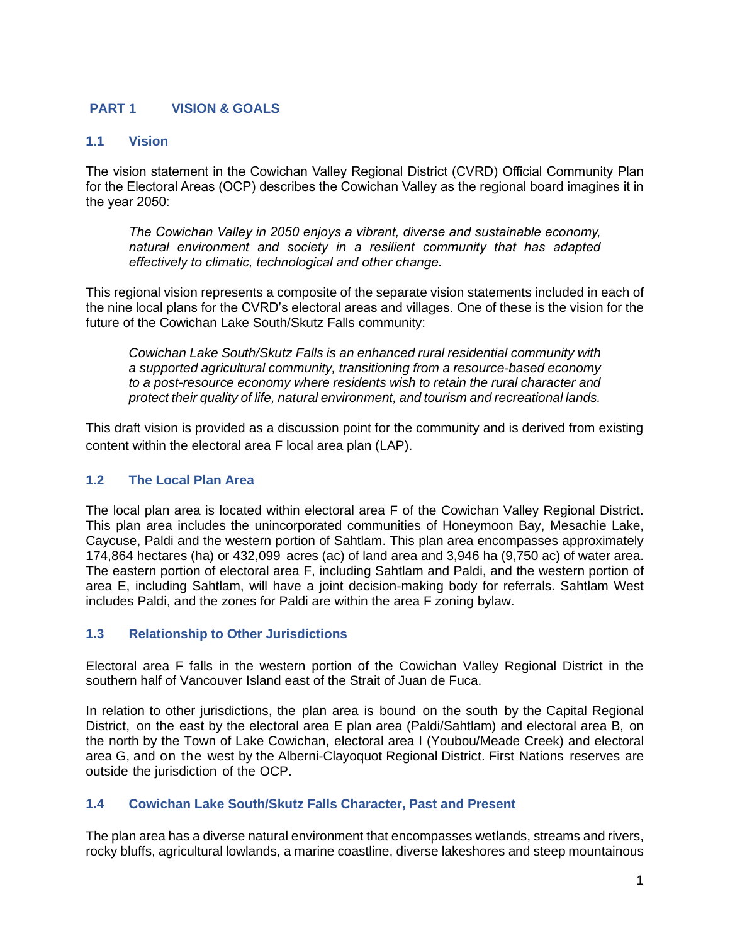## <span id="page-2-0"></span>**PART 1 VISION & GOALS**

## <span id="page-2-1"></span>**1.1 Vision**

The vision statement in the Cowichan Valley Regional District (CVRD) Official Community Plan for the Electoral Areas (OCP) describes the Cowichan Valley as the regional board imagines it in the year 2050:

*The Cowichan Valley in 2050 enjoys a vibrant, diverse and sustainable economy, natural environment and society in a resilient community that has adapted effectively to climatic, technological and other change.*

This regional vision represents a composite of the separate vision statements included in each of the nine local plans for the CVRD's electoral areas and villages. One of these is the vision for the future of the Cowichan Lake South/Skutz Falls community:

*Cowichan Lake South/Skutz Falls is an enhanced rural residential community with a supported agricultural community, transitioning from a resource-based economy to a post-resource economy where residents wish to retain the rural character and protect their quality of life, natural environment, and tourism and recreational lands.*

This draft vision is provided as a discussion point for the community and is derived from existing content within the electoral area F local area plan (LAP).

## <span id="page-2-2"></span>**1.2 The Local Plan Area**

The local plan area is located within electoral area F of the Cowichan Valley Regional District. This plan area includes the unincorporated communities of Honeymoon Bay, Mesachie Lake, Caycuse, Paldi and the western portion of Sahtlam. This plan area encompasses approximately 174,864 hectares (ha) or 432,099 acres (ac) of land area and 3,946 ha (9,750 ac) of water area. The eastern portion of electoral area F, including Sahtlam and Paldi, and the western portion of area E, including Sahtlam, will have a joint decision-making body for referrals. Sahtlam West includes Paldi, and the zones for Paldi are within the area F zoning bylaw.

## <span id="page-2-3"></span>**1.3 Relationship to Other Jurisdictions**

Electoral area F falls in the western portion of the Cowichan Valley Regional District in the southern half of Vancouver Island east of the Strait of Juan de Fuca.

In relation to other jurisdictions, the plan area is bound on the south by the Capital Regional District, on the east by the electoral area E plan area (Paldi/Sahtlam) and electoral area B, on the north by the Town of Lake Cowichan, electoral area I (Youbou/Meade Creek) and electoral area G, and on the west by the Alberni-Clayoquot Regional District. First Nations reserves are outside the jurisdiction of the OCP.

## <span id="page-2-4"></span>**1.4 Cowichan Lake South/Skutz Falls Character, Past and Present**

The plan area has a diverse natural environment that encompasses wetlands, streams and rivers, rocky bluffs, agricultural lowlands, a marine coastline, diverse lakeshores and steep mountainous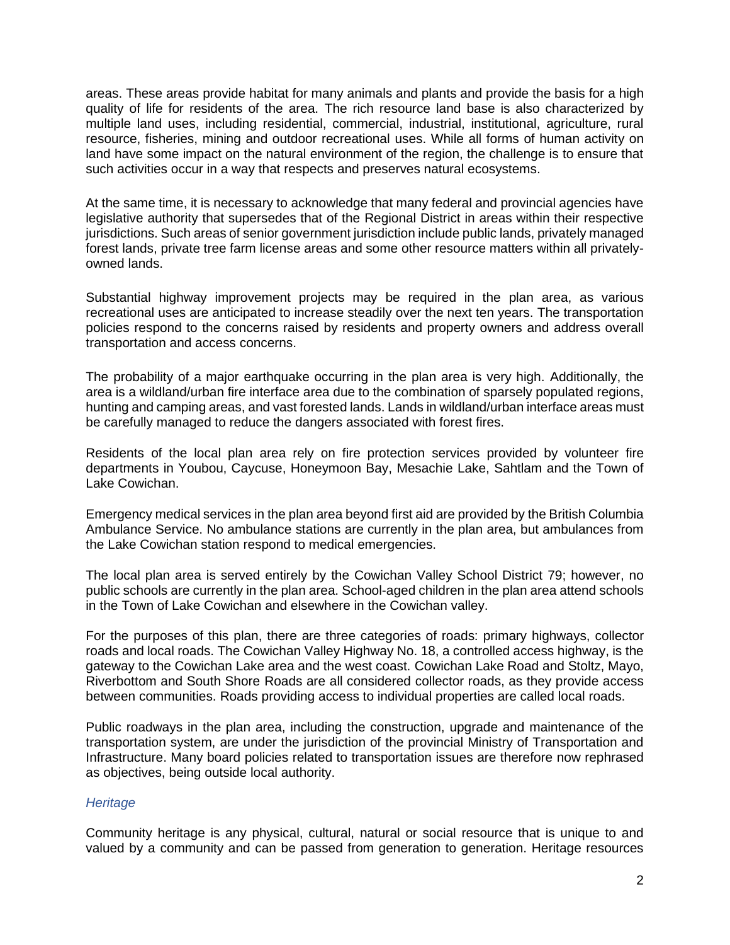areas. These areas provide habitat for many animals and plants and provide the basis for a high quality of life for residents of the area. The rich resource land base is also characterized by multiple land uses, including residential, commercial, industrial, institutional, agriculture, rural resource, fisheries, mining and outdoor recreational uses. While all forms of human activity on land have some impact on the natural environment of the region, the challenge is to ensure that such activities occur in a way that respects and preserves natural ecosystems.

At the same time, it is necessary to acknowledge that many federal and provincial agencies have legislative authority that supersedes that of the Regional District in areas within their respective jurisdictions. Such areas of senior government jurisdiction include public lands, privately managed forest lands, private tree farm license areas and some other resource matters within all privatelyowned lands.

Substantial highway improvement projects may be required in the plan area, as various recreational uses are anticipated to increase steadily over the next ten years. The transportation policies respond to the concerns raised by residents and property owners and address overall transportation and access concerns.

The probability of a major earthquake occurring in the plan area is very high. Additionally, the area is a wildland/urban fire interface area due to the combination of sparsely populated regions, hunting and camping areas, and vast forested lands. Lands in wildland/urban interface areas must be carefully managed to reduce the dangers associated with forest fires.

Residents of the local plan area rely on fire protection services provided by volunteer fire departments in Youbou, Caycuse, Honeymoon Bay, Mesachie Lake, Sahtlam and the Town of Lake Cowichan.

Emergency medical services in the plan area beyond first aid are provided by the British Columbia Ambulance Service. No ambulance stations are currently in the plan area, but ambulances from the Lake Cowichan station respond to medical emergencies.

The local plan area is served entirely by the Cowichan Valley School District 79; however, no public schools are currently in the plan area. School-aged children in the plan area attend schools in the Town of Lake Cowichan and elsewhere in the Cowichan valley.

For the purposes of this plan, there are three categories of roads: primary highways, collector roads and local roads. The Cowichan Valley Highway No. 18, a controlled access highway, is the gateway to the Cowichan Lake area and the west coast. Cowichan Lake Road and Stoltz, Mayo, Riverbottom and South Shore Roads are all considered collector roads, as they provide access between communities. Roads providing access to individual properties are called local roads.

Public roadways in the plan area, including the construction, upgrade and maintenance of the transportation system, are under the jurisdiction of the provincial Ministry of Transportation and Infrastructure. Many board policies related to transportation issues are therefore now rephrased as objectives, being outside local authority.

## *Heritage*

Community heritage is any physical, cultural, natural or social resource that is unique to and valued by a community and can be passed from generation to generation. Heritage resources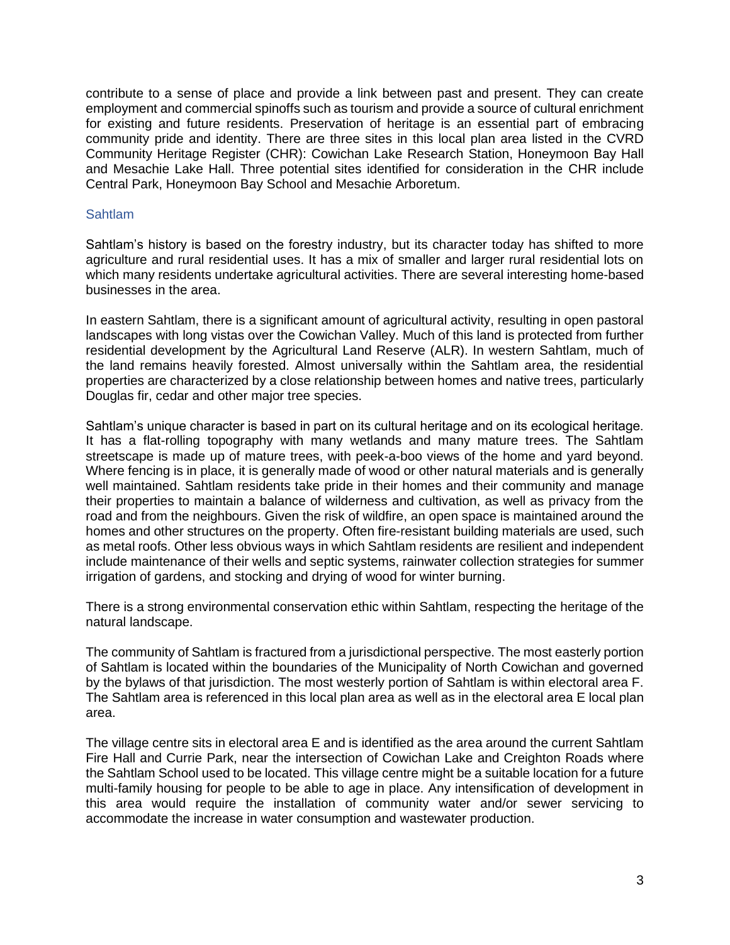contribute to a sense of place and provide a link between past and present. They can create employment and commercial spinoffs such as tourism and provide a source of cultural enrichment for existing and future residents. Preservation of heritage is an essential part of embracing community pride and identity. There are three sites in this local plan area listed in the CVRD Community Heritage Register (CHR): Cowichan Lake Research Station, Honeymoon Bay Hall and Mesachie Lake Hall. Three potential sites identified for consideration in the CHR include Central Park, Honeymoon Bay School and Mesachie Arboretum.

#### Sahtlam

Sahtlam's history is based on the forestry industry, but its character today has shifted to more agriculture and rural residential uses. It has a mix of smaller and larger rural residential lots on which many residents undertake agricultural activities. There are several interesting home-based businesses in the area.

In eastern Sahtlam, there is a significant amount of agricultural activity, resulting in open pastoral landscapes with long vistas over the Cowichan Valley. Much of this land is protected from further residential development by the Agricultural Land Reserve (ALR). In western Sahtlam, much of the land remains heavily forested. Almost universally within the Sahtlam area, the residential properties are characterized by a close relationship between homes and native trees, particularly Douglas fir, cedar and other major tree species.

Sahtlam's unique character is based in part on its cultural heritage and on its ecological heritage. It has a flat-rolling topography with many wetlands and many mature trees. The Sahtlam streetscape is made up of mature trees, with peek-a-boo views of the home and yard beyond. Where fencing is in place, it is generally made of wood or other natural materials and is generally well maintained. Sahtlam residents take pride in their homes and their community and manage their properties to maintain a balance of wilderness and cultivation, as well as privacy from the road and from the neighbours. Given the risk of wildfire, an open space is maintained around the homes and other structures on the property. Often fire-resistant building materials are used, such as metal roofs. Other less obvious ways in which Sahtlam residents are resilient and independent include maintenance of their wells and septic systems, rainwater collection strategies for summer irrigation of gardens, and stocking and drying of wood for winter burning.

There is a strong environmental conservation ethic within Sahtlam, respecting the heritage of the natural landscape.

The community of Sahtlam is fractured from a jurisdictional perspective. The most easterly portion of Sahtlam is located within the boundaries of the Municipality of North Cowichan and governed by the bylaws of that jurisdiction. The most westerly portion of Sahtlam is within electoral area F. The Sahtlam area is referenced in this local plan area as well as in the electoral area E local plan area.

The village centre sits in electoral area E and is identified as the area around the current Sahtlam Fire Hall and Currie Park, near the intersection of Cowichan Lake and Creighton Roads where the Sahtlam School used to be located. This village centre might be a suitable location for a future multi-family housing for people to be able to age in place. Any intensification of development in this area would require the installation of community water and/or sewer servicing to accommodate the increase in water consumption and wastewater production.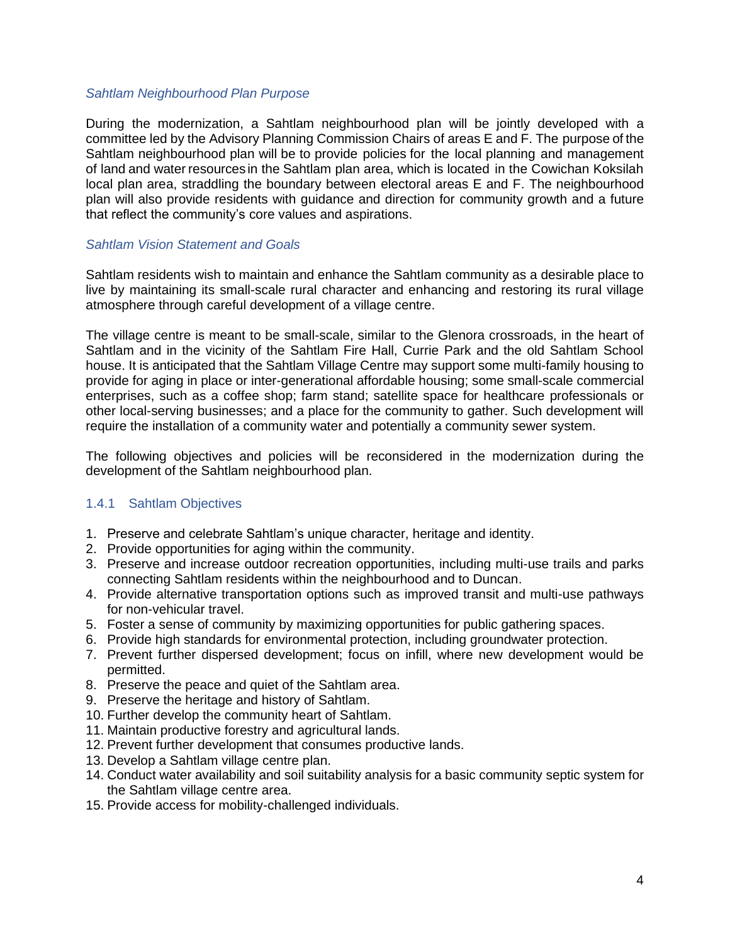#### *Sahtlam Neighbourhood Plan Purpose*

During the modernization, a Sahtlam neighbourhood plan will be jointly developed with a committee led by the Advisory Planning Commission Chairs of areas E and F. The purpose of the Sahtlam neighbourhood plan will be to provide policies for the local planning and management of land and water resources in the Sahtlam plan area, which is located in the Cowichan Koksilah local plan area, straddling the boundary between electoral areas E and F. The neighbourhood plan will also provide residents with guidance and direction for community growth and a future that reflect the community's core values and aspirations.

### *Sahtlam Vision Statement and Goals*

Sahtlam residents wish to maintain and enhance the Sahtlam community as a desirable place to live by maintaining its small-scale rural character and enhancing and restoring its rural village atmosphere through careful development of a village centre.

The village centre is meant to be small-scale, similar to the Glenora crossroads, in the heart of Sahtlam and in the vicinity of the Sahtlam Fire Hall, Currie Park and the old Sahtlam School house. It is anticipated that the Sahtlam Village Centre may support some multi-family housing to provide for aging in place or inter-generational affordable housing; some small-scale commercial enterprises, such as a coffee shop; farm stand; satellite space for healthcare professionals or other local-serving businesses; and a place for the community to gather. Such development will require the installation of a community water and potentially a community sewer system.

The following objectives and policies will be reconsidered in the modernization during the development of the Sahtlam neighbourhood plan.

## <span id="page-5-0"></span>1.4.1 Sahtlam Objectives

- 1. Preserve and celebrate Sahtlam's unique character, heritage and identity.
- 2. Provide opportunities for aging within the community.
- 3. Preserve and increase outdoor recreation opportunities, including multi-use trails and parks connecting Sahtlam residents within the neighbourhood and to Duncan.
- 4. Provide alternative transportation options such as improved transit and multi-use pathways for non-vehicular travel.
- 5. Foster a sense of community by maximizing opportunities for public gathering spaces.
- 6. Provide high standards for environmental protection, including groundwater protection.
- 7. Prevent further dispersed development; focus on infill, where new development would be permitted.
- 8. Preserve the peace and quiet of the Sahtlam area.
- 9. Preserve the heritage and history of Sahtlam.
- 10. Further develop the community heart of Sahtlam.
- 11. Maintain productive forestry and agricultural lands.
- 12. Prevent further development that consumes productive lands.
- 13. Develop a Sahtlam village centre plan.
- 14. Conduct water availability and soil suitability analysis for a basic community septic system for the Sahtlam village centre area.
- 15. Provide access for mobility-challenged individuals.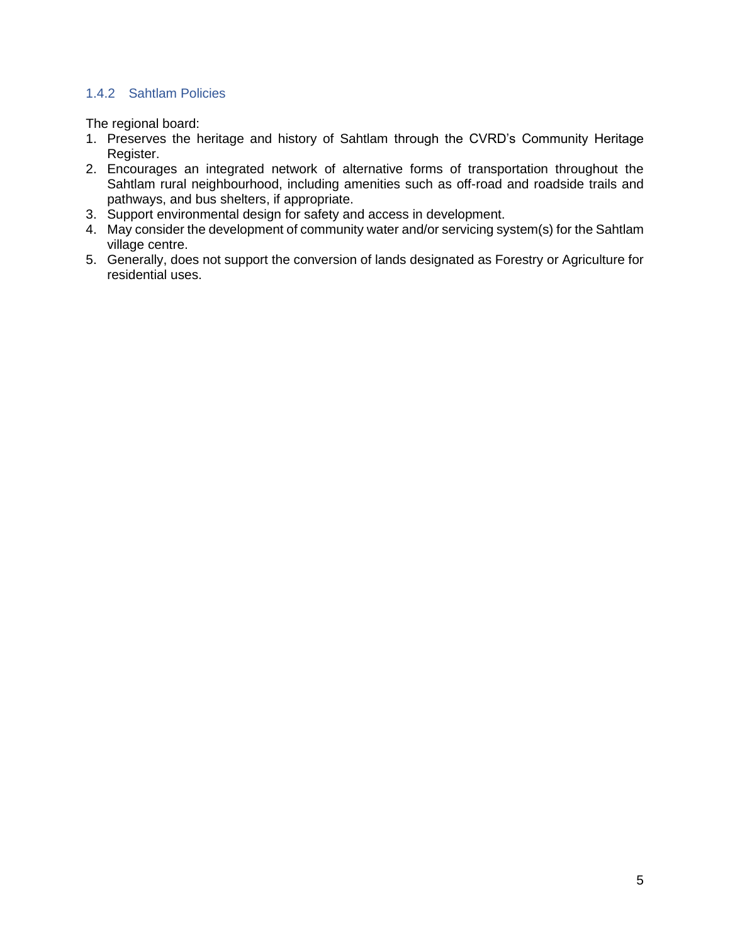## <span id="page-6-0"></span>1.4.2 Sahtlam Policies

The regional board:

- 1. Preserves the heritage and history of Sahtlam through the CVRD's Community Heritage Register.
- 2. Encourages an integrated network of alternative forms of transportation throughout the Sahtlam rural neighbourhood, including amenities such as off-road and roadside trails and pathways, and bus shelters, if appropriate.
- 3. Support environmental design for safety and access in development.
- 4. May consider the development of community water and/or servicing system(s) for the Sahtlam village centre.
- 5. Generally, does not support the conversion of lands designated as Forestry or Agriculture for residential uses.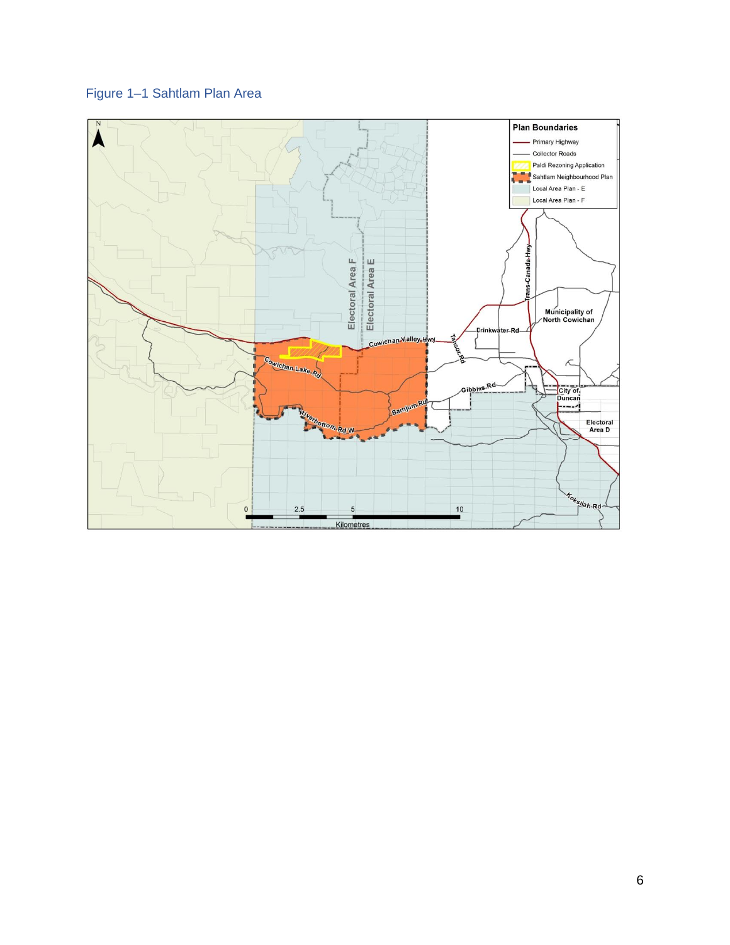# Figure 1–1 Sahtlam Plan Area

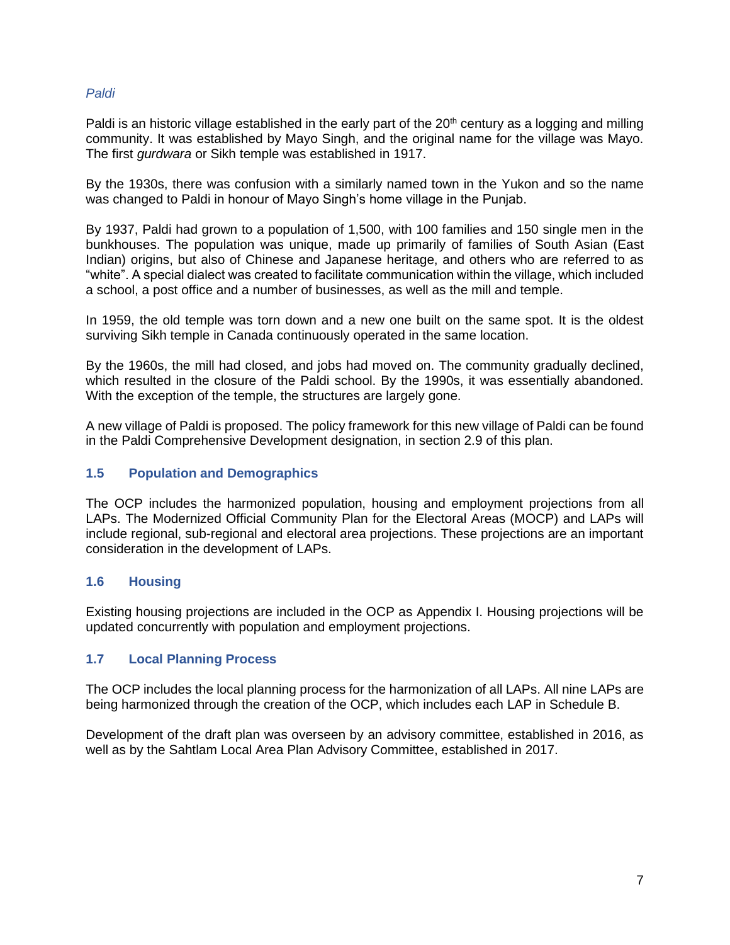## *Paldi*

Paldi is an historic village established in the early part of the 20<sup>th</sup> century as a logging and milling community. It was established by Mayo Singh, and the original name for the village was Mayo. The first *gurdwara* or Sikh temple was established in 1917.

By the 1930s, there was confusion with a similarly named town in the Yukon and so the name was changed to Paldi in honour of Mayo Singh's home village in the Punjab.

By 1937, Paldi had grown to a population of 1,500, with 100 families and 150 single men in the bunkhouses. The population was unique, made up primarily of families of South Asian (East Indian) origins, but also of Chinese and Japanese heritage, and others who are referred to as "white". A special dialect was created to facilitate communication within the village, which included a school, a post office and a number of businesses, as well as the mill and temple.

In 1959, the old temple was torn down and a new one built on the same spot. It is the oldest surviving Sikh temple in Canada continuously operated in the same location.

By the 1960s, the mill had closed, and jobs had moved on. The community gradually declined, which resulted in the closure of the Paldi school. By the 1990s, it was essentially abandoned. With the exception of the temple, the structures are largely gone.

A new village of Paldi is proposed. The policy framework for this new village of Paldi can be found in the Paldi Comprehensive Development designation, in section 2.9 of this plan.

## <span id="page-8-0"></span>**1.5 Population and Demographics**

The OCP includes the harmonized population, housing and employment projections from all LAPs. The Modernized Official Community Plan for the Electoral Areas (MOCP) and LAPs will include regional, sub-regional and electoral area projections. These projections are an important consideration in the development of LAPs.

## <span id="page-8-1"></span>**1.6 Housing**

Existing housing projections are included in the OCP as Appendix I. Housing projections will be updated concurrently with population and employment projections.

## <span id="page-8-2"></span>**1.7 Local Planning Process**

The OCP includes the local planning process for the harmonization of all LAPs. All nine LAPs are being harmonized through the creation of the OCP, which includes each LAP in Schedule B.

Development of the draft plan was overseen by an advisory committee, established in 2016, as well as by the Sahtlam Local Area Plan Advisory Committee, established in 2017.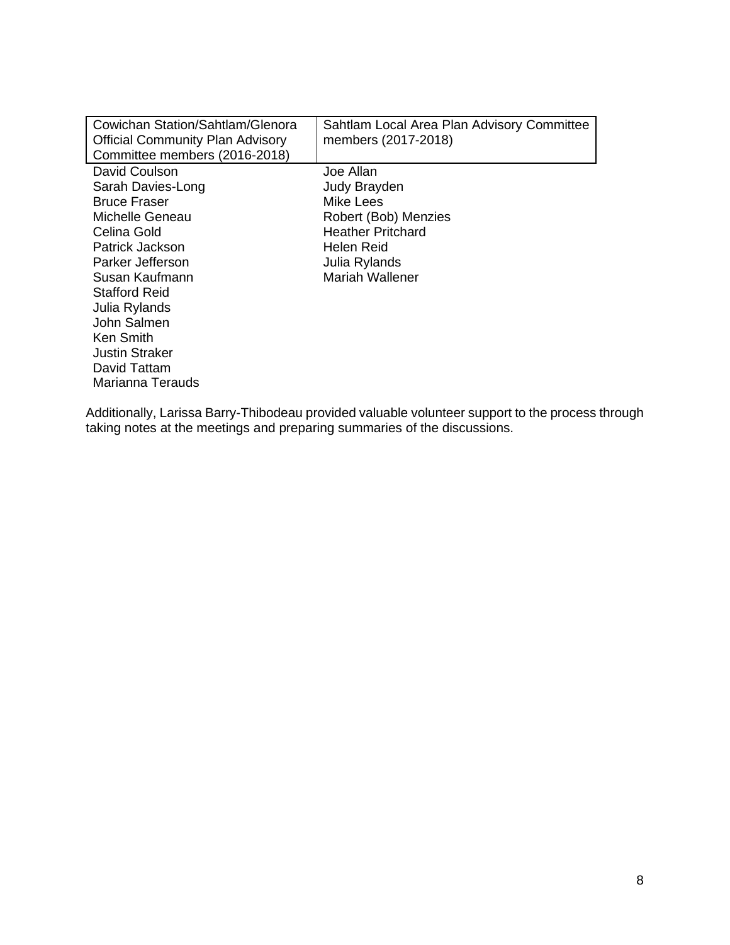| Cowichan Station/Sahtlam/Glenora<br><b>Official Community Plan Advisory</b><br>Committee members (2016-2018)                                                                                                                                                                           | Sahtlam Local Area Plan Advisory Committee<br>members (2017-2018)                                                                            |
|----------------------------------------------------------------------------------------------------------------------------------------------------------------------------------------------------------------------------------------------------------------------------------------|----------------------------------------------------------------------------------------------------------------------------------------------|
| David Coulson<br>Sarah Davies-Long<br><b>Bruce Fraser</b><br>Michelle Geneau<br>Celina Gold<br>Patrick Jackson<br>Parker Jefferson<br>Susan Kaufmann<br><b>Stafford Reid</b><br>Julia Rylands<br>John Salmen<br>Ken Smith<br><b>Justin Straker</b><br>David Tattam<br>Marianna Terauds | Joe Allan<br>Judy Brayden<br>Mike Lees<br>Robert (Bob) Menzies<br><b>Heather Pritchard</b><br>Helen Reid<br>Julia Rylands<br>Mariah Wallener |

Additionally, Larissa Barry-Thibodeau provided valuable volunteer support to the process through taking notes at the meetings and preparing summaries of the discussions.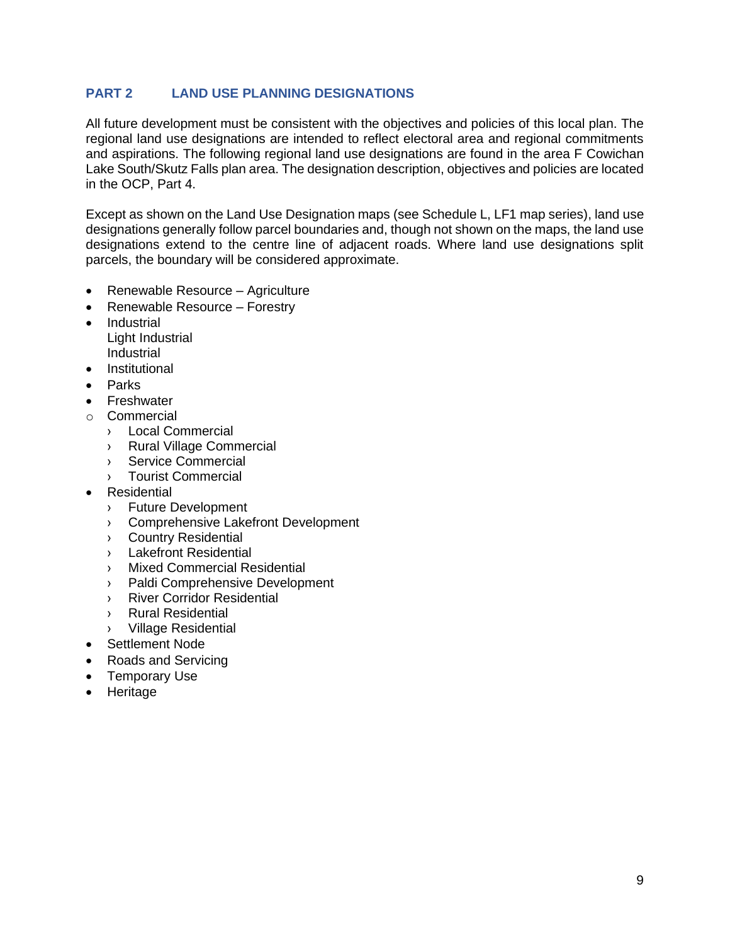## <span id="page-10-0"></span>**PART 2 LAND USE PLANNING DESIGNATIONS**

All future development must be consistent with the objectives and policies of this local plan. The regional land use designations are intended to reflect electoral area and regional commitments and aspirations. The following regional land use designations are found in the area F Cowichan Lake South/Skutz Falls plan area. The designation description, objectives and policies are located in the OCP, Part 4.

Except as shown on the Land Use Designation maps (see Schedule L, LF1 map series), land use designations generally follow parcel boundaries and, though not shown on the maps, the land use designations extend to the centre line of adjacent roads. Where land use designations split parcels, the boundary will be considered approximate.

- Renewable Resource Agriculture
- Renewable Resource Forestry
- Industrial Light Industrial Industrial
- **Institutional**
- Parks
- **Freshwater**
- o Commercial
	- › Local Commercial
	- › Rural Village Commercial
	- › Service Commercial
	- › Tourist Commercial
- **Residential** 
	- › Future Development
	- › Comprehensive Lakefront Development
	- › Country Residential
	- › Lakefront Residential
	- › Mixed Commercial Residential
	- › Paldi Comprehensive Development
	- › River Corridor Residential
	- › Rural Residential
	- › Village Residential
- Settlement Node
- Roads and Servicing
- Temporary Use
- Heritage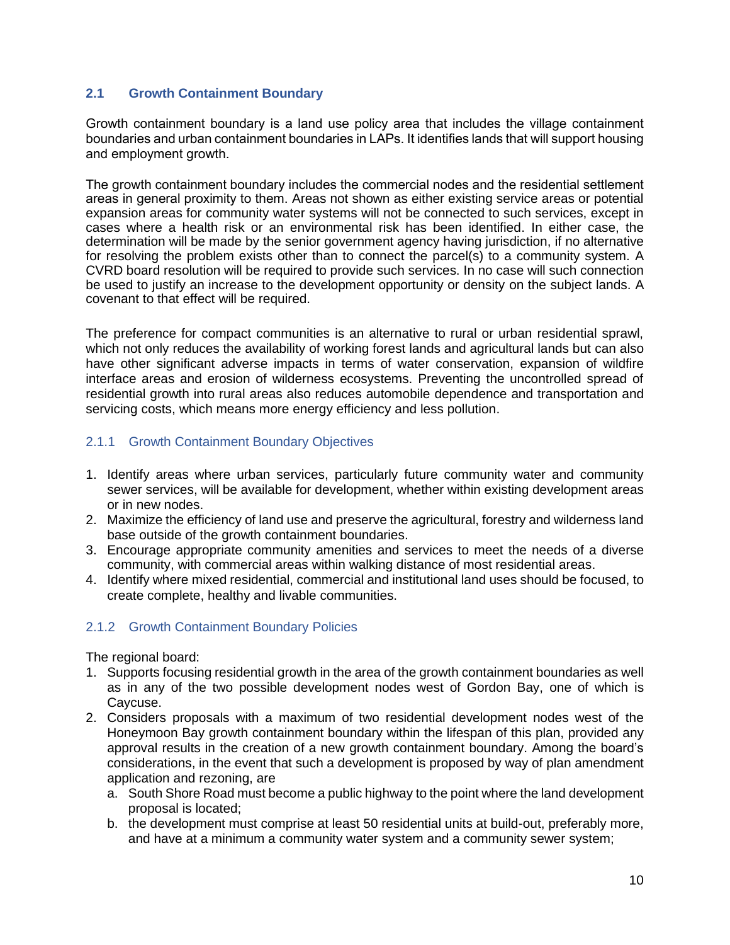## <span id="page-11-0"></span>**2.1 Growth Containment Boundary**

Growth containment boundary is a land use policy area that includes the village containment boundaries and urban containment boundaries in LAPs. It identifies lands that will support housing and employment growth.

The growth containment boundary includes the commercial nodes and the residential settlement areas in general proximity to them. Areas not shown as either existing service areas or potential expansion areas for community water systems will not be connected to such services, except in cases where a health risk or an environmental risk has been identified. In either case, the determination will be made by the senior government agency having jurisdiction, if no alternative for resolving the problem exists other than to connect the parcel(s) to a community system. A CVRD board resolution will be required to provide such services. In no case will such connection be used to justify an increase to the development opportunity or density on the subject lands. A covenant to that effect will be required.

The preference for compact communities is an alternative to rural or urban residential sprawl, which not only reduces the availability of working forest lands and agricultural lands but can also have other significant adverse impacts in terms of water conservation, expansion of wildfire interface areas and erosion of wilderness ecosystems. Preventing the uncontrolled spread of residential growth into rural areas also reduces automobile dependence and transportation and servicing costs, which means more energy efficiency and less pollution.

## <span id="page-11-1"></span>2.1.1 Growth Containment Boundary Objectives

- 1. Identify areas where urban services, particularly future community water and community sewer services, will be available for development, whether within existing development areas or in new nodes.
- 2. Maximize the efficiency of land use and preserve the agricultural, forestry and wilderness land base outside of the growth containment boundaries.
- 3. Encourage appropriate community amenities and services to meet the needs of a diverse community, with commercial areas within walking distance of most residential areas.
- 4. Identify where mixed residential, commercial and institutional land uses should be focused, to create complete, healthy and livable communities.

## <span id="page-11-2"></span>2.1.2 Growth Containment Boundary Policies

The regional board:

- 1. Supports focusing residential growth in the area of the growth containment boundaries as well as in any of the two possible development nodes west of Gordon Bay, one of which is Caycuse.
- 2. Considers proposals with a maximum of two residential development nodes west of the Honeymoon Bay growth containment boundary within the lifespan of this plan, provided any approval results in the creation of a new growth containment boundary. Among the board's considerations, in the event that such a development is proposed by way of plan amendment application and rezoning, are
	- a. South Shore Road must become a public highway to the point where the land development proposal is located;
	- b. the development must comprise at least 50 residential units at build-out, preferably more, and have at a minimum a community water system and a community sewer system;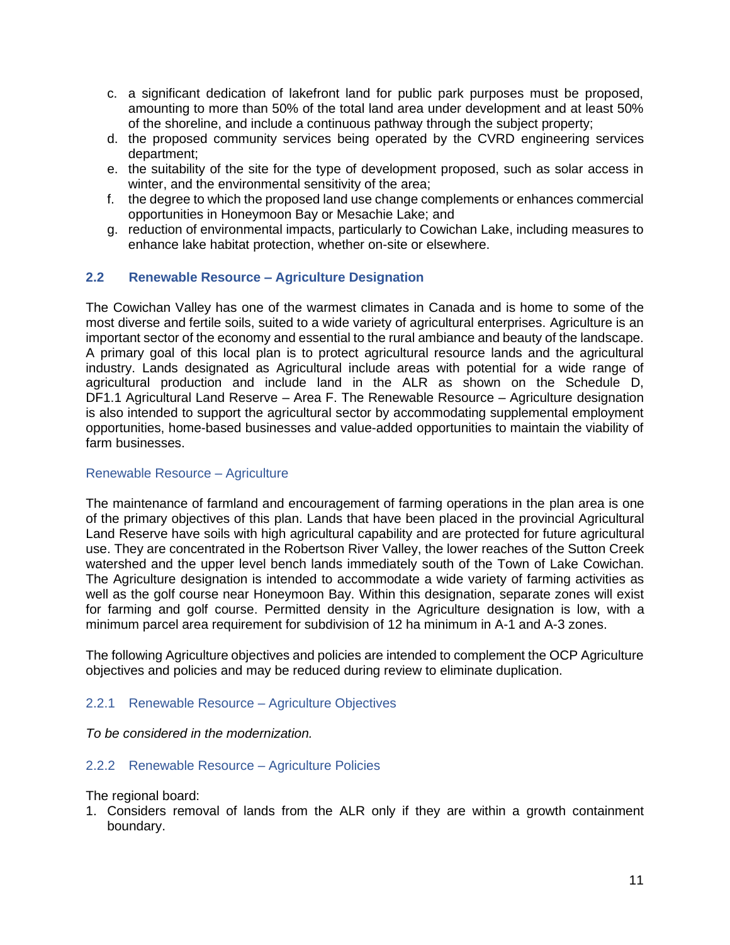- c. a significant dedication of lakefront land for public park purposes must be proposed, amounting to more than 50% of the total land area under development and at least 50% of the shoreline, and include a continuous pathway through the subject property;
- d. the proposed community services being operated by the CVRD engineering services department;
- e. the suitability of the site for the type of development proposed, such as solar access in winter, and the environmental sensitivity of the area;
- f. the degree to which the proposed land use change complements or enhances commercial opportunities in Honeymoon Bay or Mesachie Lake; and
- g. reduction of environmental impacts, particularly to Cowichan Lake, including measures to enhance lake habitat protection, whether on-site or elsewhere.

## <span id="page-12-0"></span>**2.2 Renewable Resource – Agriculture Designation**

The Cowichan Valley has one of the warmest climates in Canada and is home to some of the most diverse and fertile soils, suited to a wide variety of agricultural enterprises. Agriculture is an important sector of the economy and essential to the rural ambiance and beauty of the landscape. A primary goal of this local plan is to protect agricultural resource lands and the agricultural industry. Lands designated as Agricultural include areas with potential for a wide range of agricultural production and include land in the ALR as shown on the Schedule D, DF1.1 Agricultural Land Reserve – Area F. The Renewable Resource – Agriculture designation is also intended to support the agricultural sector by accommodating supplemental employment opportunities, home-based businesses and value-added opportunities to maintain the viability of farm businesses.

#### Renewable Resource – Agriculture

The maintenance of farmland and encouragement of farming operations in the plan area is one of the primary objectives of this plan. Lands that have been placed in the provincial Agricultural Land Reserve have soils with high agricultural capability and are protected for future agricultural use. They are concentrated in the Robertson River Valley, the lower reaches of the Sutton Creek watershed and the upper level bench lands immediately south of the Town of Lake Cowichan. The Agriculture designation is intended to accommodate a wide variety of farming activities as well as the golf course near Honeymoon Bay. Within this designation, separate zones will exist for farming and golf course. Permitted density in the Agriculture designation is low, with a minimum parcel area requirement for subdivision of 12 ha minimum in A-1 and A-3 zones.

The following Agriculture objectives and policies are intended to complement the OCP Agriculture objectives and policies and may be reduced during review to eliminate duplication.

#### <span id="page-12-1"></span>2.2.1 Renewable Resource – Agriculture Objectives

*To be considered in the modernization.*

#### <span id="page-12-2"></span>2.2.2 Renewable Resource – Agriculture Policies

The regional board:

1. Considers removal of lands from the ALR only if they are within a growth containment boundary.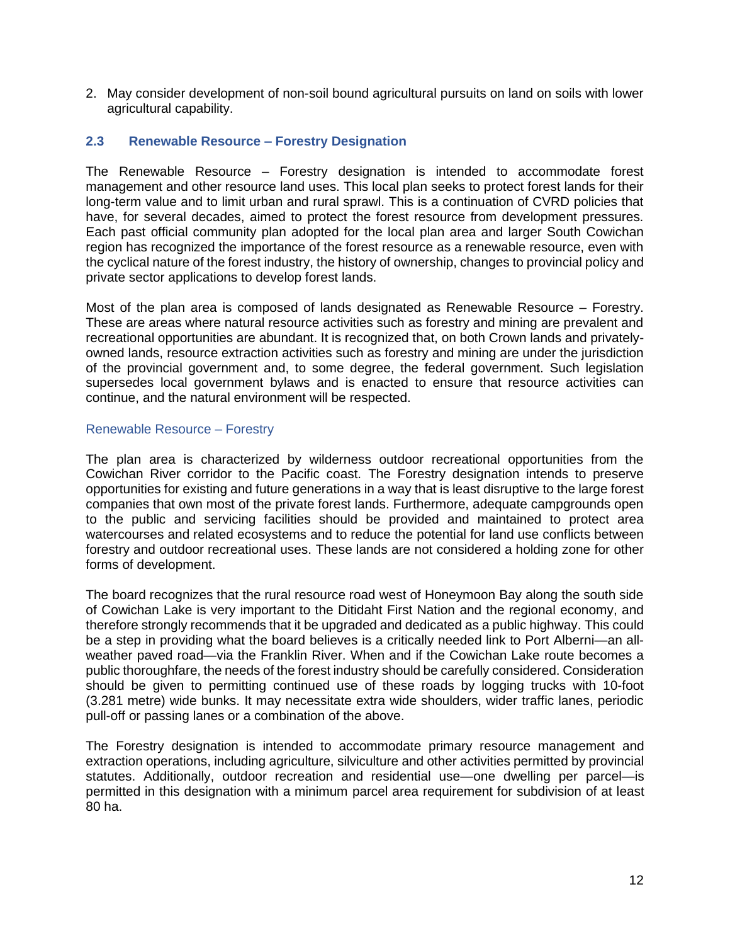2. May consider development of non-soil bound agricultural pursuits on land on soils with lower agricultural capability.

## <span id="page-13-0"></span>**2.3 Renewable Resource – Forestry Designation**

The Renewable Resource – Forestry designation is intended to accommodate forest management and other resource land uses. This local plan seeks to protect forest lands for their long-term value and to limit urban and rural sprawl. This is a continuation of CVRD policies that have, for several decades, aimed to protect the forest resource from development pressures. Each past official community plan adopted for the local plan area and larger South Cowichan region has recognized the importance of the forest resource as a renewable resource, even with the cyclical nature of the forest industry, the history of ownership, changes to provincial policy and private sector applications to develop forest lands.

Most of the plan area is composed of lands designated as Renewable Resource – Forestry. These are areas where natural resource activities such as forestry and mining are prevalent and recreational opportunities are abundant. It is recognized that, on both Crown lands and privatelyowned lands, resource extraction activities such as forestry and mining are under the jurisdiction of the provincial government and, to some degree, the federal government. Such legislation supersedes local government bylaws and is enacted to ensure that resource activities can continue, and the natural environment will be respected.

### Renewable Resource – Forestry

The plan area is characterized by wilderness outdoor recreational opportunities from the Cowichan River corridor to the Pacific coast. The Forestry designation intends to preserve opportunities for existing and future generations in a way that is least disruptive to the large forest companies that own most of the private forest lands. Furthermore, adequate campgrounds open to the public and servicing facilities should be provided and maintained to protect area watercourses and related ecosystems and to reduce the potential for land use conflicts between forestry and outdoor recreational uses. These lands are not considered a holding zone for other forms of development.

The board recognizes that the rural resource road west of Honeymoon Bay along the south side of Cowichan Lake is very important to the Ditidaht First Nation and the regional economy, and therefore strongly recommends that it be upgraded and dedicated as a public highway. This could be a step in providing what the board believes is a critically needed link to Port Alberni—an allweather paved road—via the Franklin River. When and if the Cowichan Lake route becomes a public thoroughfare, the needs of the forest industry should be carefully considered. Consideration should be given to permitting continued use of these roads by logging trucks with 10-foot (3.281 metre) wide bunks. It may necessitate extra wide shoulders, wider traffic lanes, periodic pull-off or passing lanes or a combination of the above.

The Forestry designation is intended to accommodate primary resource management and extraction operations, including agriculture, silviculture and other activities permitted by provincial statutes. Additionally, outdoor recreation and residential use—one dwelling per parcel—is permitted in this designation with a minimum parcel area requirement for subdivision of at least 80 ha.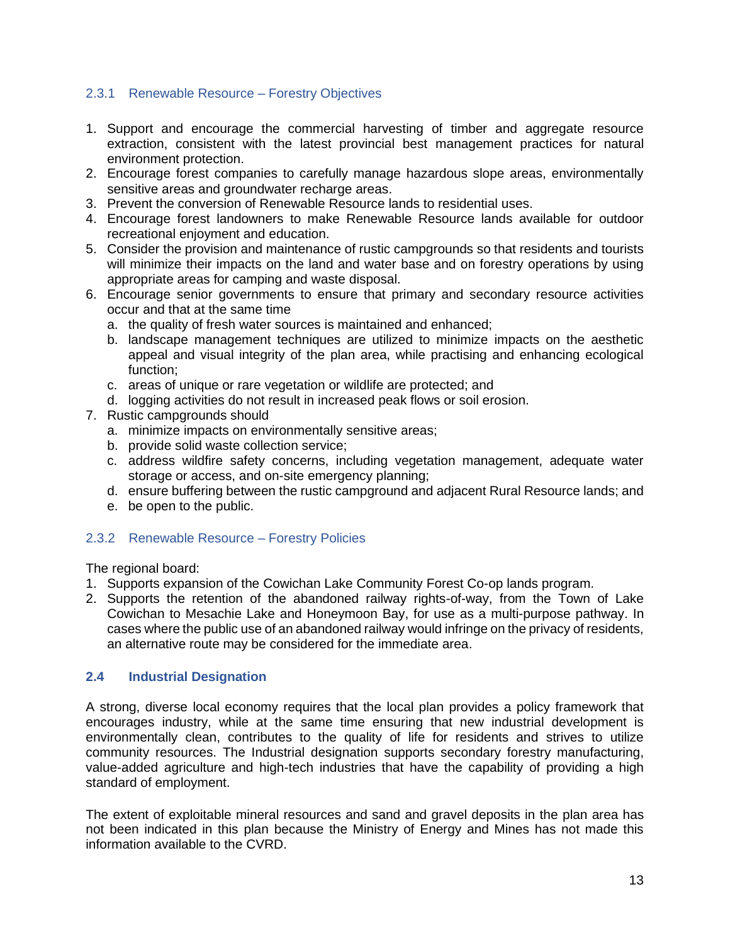## <span id="page-14-0"></span>2.3.1 Renewable Resource – Forestry Objectives

- 1. Support and encourage the commercial harvesting of timber and aggregate resource extraction, consistent with the latest provincial best management practices for natural environment protection.
- 2. Encourage forest companies to carefully manage hazardous slope areas, environmentally sensitive areas and groundwater recharge areas.
- 3. Prevent the conversion of Renewable Resource lands to residential uses.
- 4. Encourage forest landowners to make Renewable Resource lands available for outdoor recreational enjoyment and education.
- 5. Consider the provision and maintenance of rustic campgrounds so that residents and tourists will minimize their impacts on the land and water base and on forestry operations by using appropriate areas for camping and waste disposal.
- 6. Encourage senior governments to ensure that primary and secondary resource activities occur and that at the same time
	- a. the quality of fresh water sources is maintained and enhanced;
	- b. landscape management techniques are utilized to minimize impacts on the aesthetic appeal and visual integrity of the plan area, while practising and enhancing ecological function;
	- c. areas of unique or rare vegetation or wildlife are protected; and
	- d. logging activities do not result in increased peak flows or soil erosion.
- 7. Rustic campgrounds should
	- a. minimize impacts on environmentally sensitive areas;
	- b. provide solid waste collection service;
	- c. address wildfire safety concerns, including vegetation management, adequate water storage or access, and on-site emergency planning;
	- d. ensure buffering between the rustic campground and adjacent Rural Resource lands; and
	- e. be open to the public.

## <span id="page-14-1"></span>2.3.2 Renewable Resource – Forestry Policies

The regional board:

- 1. Supports expansion of the Cowichan Lake Community Forest Co-op lands program.
- 2. Supports the retention of the abandoned railway rights-of-way, from the Town of Lake Cowichan to Mesachie Lake and Honeymoon Bay, for use as a multi-purpose pathway. In cases where the public use of an abandoned railway would infringe on the privacy of residents, an alternative route may be considered for the immediate area.

## <span id="page-14-2"></span>**2.4 Industrial Designation**

A strong, diverse local economy requires that the local plan provides a policy framework that encourages industry, while at the same time ensuring that new industrial development is environmentally clean, contributes to the quality of life for residents and strives to utilize community resources. The Industrial designation supports secondary forestry manufacturing, value-added agriculture and high-tech industries that have the capability of providing a high standard of employment.

The extent of exploitable mineral resources and sand and gravel deposits in the plan area has not been indicated in this plan because the Ministry of Energy and Mines has not made this information available to the CVRD.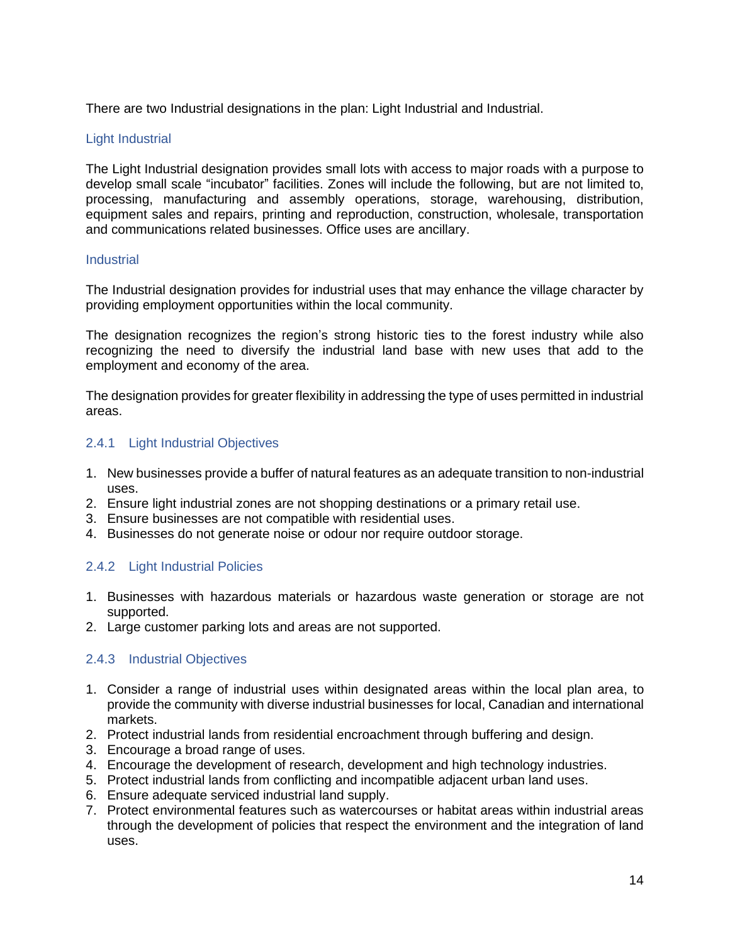There are two Industrial designations in the plan: Light Industrial and Industrial.

## Light Industrial

The Light Industrial designation provides small lots with access to major roads with a purpose to develop small scale "incubator" facilities. Zones will include the following, but are not limited to, processing, manufacturing and assembly operations, storage, warehousing, distribution, equipment sales and repairs, printing and reproduction, construction, wholesale, transportation and communications related businesses. Office uses are ancillary.

#### **Industrial**

The Industrial designation provides for industrial uses that may enhance the village character by providing employment opportunities within the local community.

The designation recognizes the region's strong historic ties to the forest industry while also recognizing the need to diversify the industrial land base with new uses that add to the employment and economy of the area.

The designation provides for greater flexibility in addressing the type of uses permitted in industrial areas.

## <span id="page-15-0"></span>2.4.1 Light Industrial Objectives

- 1. New businesses provide a buffer of natural features as an adequate transition to non-industrial uses.
- 2. Ensure light industrial zones are not shopping destinations or a primary retail use.
- 3. Ensure businesses are not compatible with residential uses.
- 4. Businesses do not generate noise or odour nor require outdoor storage.

## <span id="page-15-1"></span>2.4.2 Light Industrial Policies

- 1. Businesses with hazardous materials or hazardous waste generation or storage are not supported.
- 2. Large customer parking lots and areas are not supported.

## <span id="page-15-2"></span>2.4.3 Industrial Objectives

- 1. Consider a range of industrial uses within designated areas within the local plan area, to provide the community with diverse industrial businesses for local, Canadian and international markets.
- 2. Protect industrial lands from residential encroachment through buffering and design.
- 3. Encourage a broad range of uses.
- 4. Encourage the development of research, development and high technology industries.
- 5. Protect industrial lands from conflicting and incompatible adjacent urban land uses.
- 6. Ensure adequate serviced industrial land supply.
- 7. Protect environmental features such as watercourses or habitat areas within industrial areas through the development of policies that respect the environment and the integration of land uses.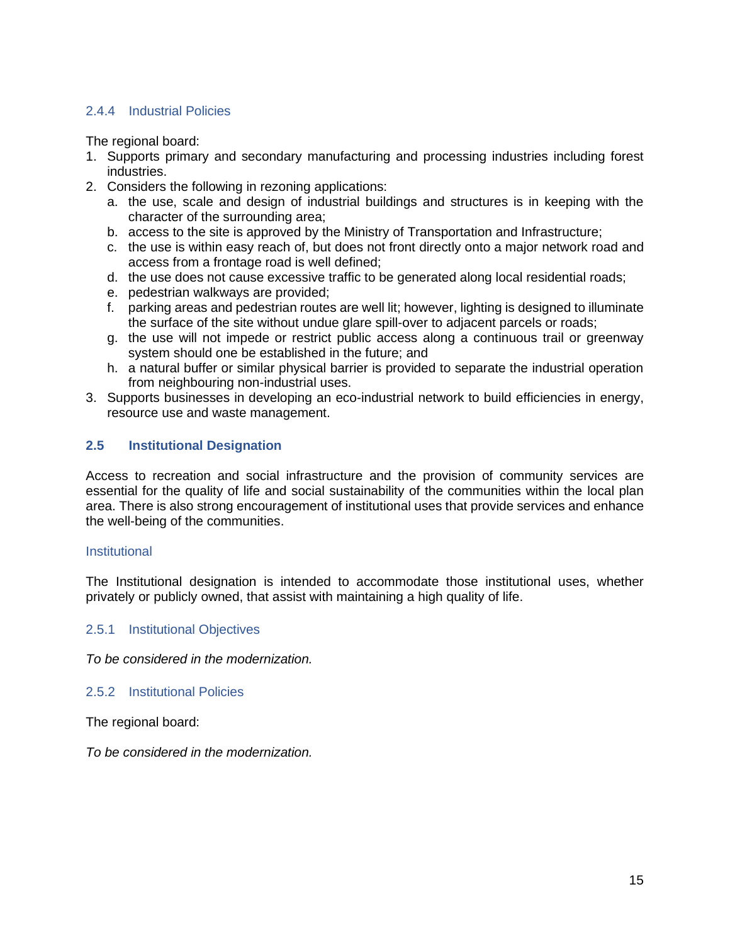## <span id="page-16-0"></span>2.4.4 Industrial Policies

The regional board:

- 1. Supports primary and secondary manufacturing and processing industries including forest industries.
- 2. Considers the following in rezoning applications:
	- a. the use, scale and design of industrial buildings and structures is in keeping with the character of the surrounding area;
	- b. access to the site is approved by the Ministry of Transportation and Infrastructure;
	- c. the use is within easy reach of, but does not front directly onto a major network road and access from a frontage road is well defined;
	- d. the use does not cause excessive traffic to be generated along local residential roads;
	- e. pedestrian walkways are provided;
	- f. parking areas and pedestrian routes are well lit; however, lighting is designed to illuminate the surface of the site without undue glare spill-over to adjacent parcels or roads;
	- g. the use will not impede or restrict public access along a continuous trail or greenway system should one be established in the future; and
	- h. a natural buffer or similar physical barrier is provided to separate the industrial operation from neighbouring non-industrial uses.
- 3. Supports businesses in developing an eco-industrial network to build efficiencies in energy, resource use and waste management.

## <span id="page-16-1"></span>**2.5 Institutional Designation**

Access to recreation and social infrastructure and the provision of community services are essential for the quality of life and social sustainability of the communities within the local plan area. There is also strong encouragement of institutional uses that provide services and enhance the well-being of the communities.

#### **Institutional**

The Institutional designation is intended to accommodate those institutional uses, whether privately or publicly owned, that assist with maintaining a high quality of life.

#### <span id="page-16-2"></span>2.5.1 Institutional Objectives

*To be considered in the modernization.*

<span id="page-16-3"></span>2.5.2 Institutional Policies

The regional board:

*To be considered in the modernization.*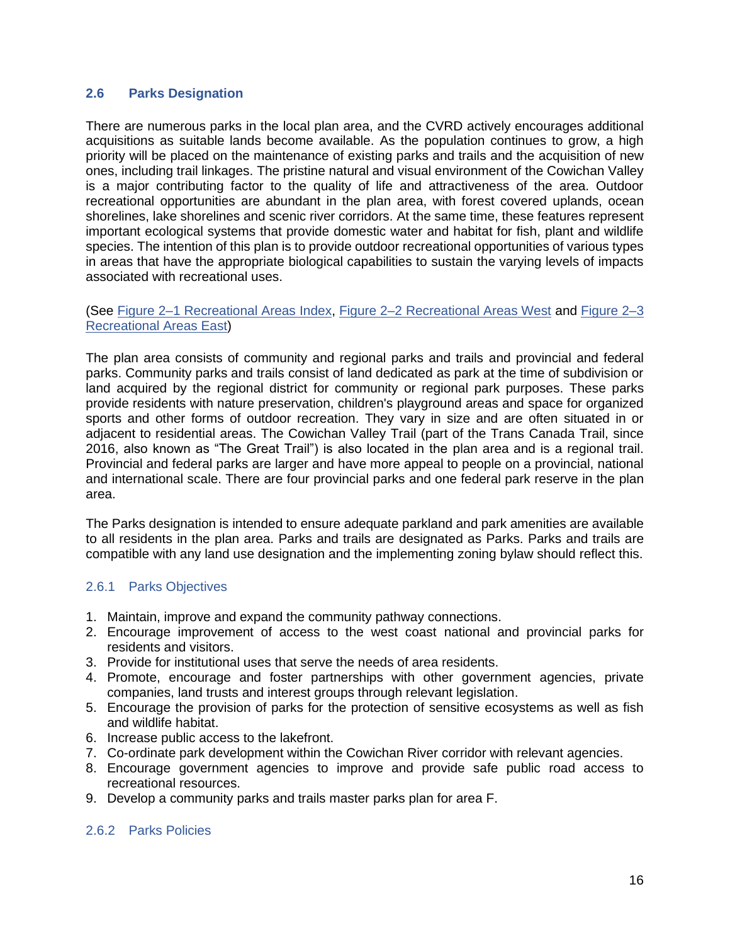## <span id="page-17-0"></span>**2.6 Parks Designation**

There are numerous parks in the local plan area, and the CVRD actively encourages additional acquisitions as suitable lands become available. As the population continues to grow, a high priority will be placed on the maintenance of existing parks and trails and the acquisition of new ones, including trail linkages. The pristine natural and visual environment of the Cowichan Valley is a major contributing factor to the quality of life and attractiveness of the area. Outdoor recreational opportunities are abundant in the plan area, with forest covered uplands, ocean shorelines, lake shorelines and scenic river corridors. At the same time, these features represent important ecological systems that provide domestic water and habitat for fish, plant and wildlife species. The intention of this plan is to provide outdoor recreational opportunities of various types in areas that have the appropriate biological capabilities to sustain the varying levels of impacts associated with recreational uses.

### (See [Figure 2–1 Recreational Areas Index,](#page-19-0) [Figure 2–2 Recreational Areas West](#page-20-0) and [Figure 2–3](#page-21-0)  [Recreational Areas East\)](#page-21-0)

The plan area consists of community and regional parks and trails and provincial and federal parks. Community parks and trails consist of land dedicated as park at the time of subdivision or land acquired by the regional district for community or regional park purposes. These parks provide residents with nature preservation, children's playground areas and space for organized sports and other forms of outdoor recreation. They vary in size and are often situated in or adjacent to residential areas. The Cowichan Valley Trail (part of the Trans Canada Trail, since 2016, also known as "The Great Trail") is also located in the plan area and is a regional trail. Provincial and federal parks are larger and have more appeal to people on a provincial, national and international scale. There are four provincial parks and one federal park reserve in the plan area.

The Parks designation is intended to ensure adequate parkland and park amenities are available to all residents in the plan area. Parks and trails are designated as Parks. Parks and trails are compatible with any land use designation and the implementing zoning bylaw should reflect this.

## <span id="page-17-1"></span>2.6.1 Parks Objectives

- 1. Maintain, improve and expand the community pathway connections.
- 2. Encourage improvement of access to the west coast national and provincial parks for residents and visitors.
- 3. Provide for institutional uses that serve the needs of area residents.
- 4. Promote, encourage and foster partnerships with other government agencies, private companies, land trusts and interest groups through relevant legislation.
- 5. Encourage the provision of parks for the protection of sensitive ecosystems as well as fish and wildlife habitat.
- 6. Increase public access to the lakefront.
- 7. Co-ordinate park development within the Cowichan River corridor with relevant agencies.
- 8. Encourage government agencies to improve and provide safe public road access to recreational resources.
- 9. Develop a community parks and trails master parks plan for area F.

#### <span id="page-17-2"></span>2.6.2 Parks Policies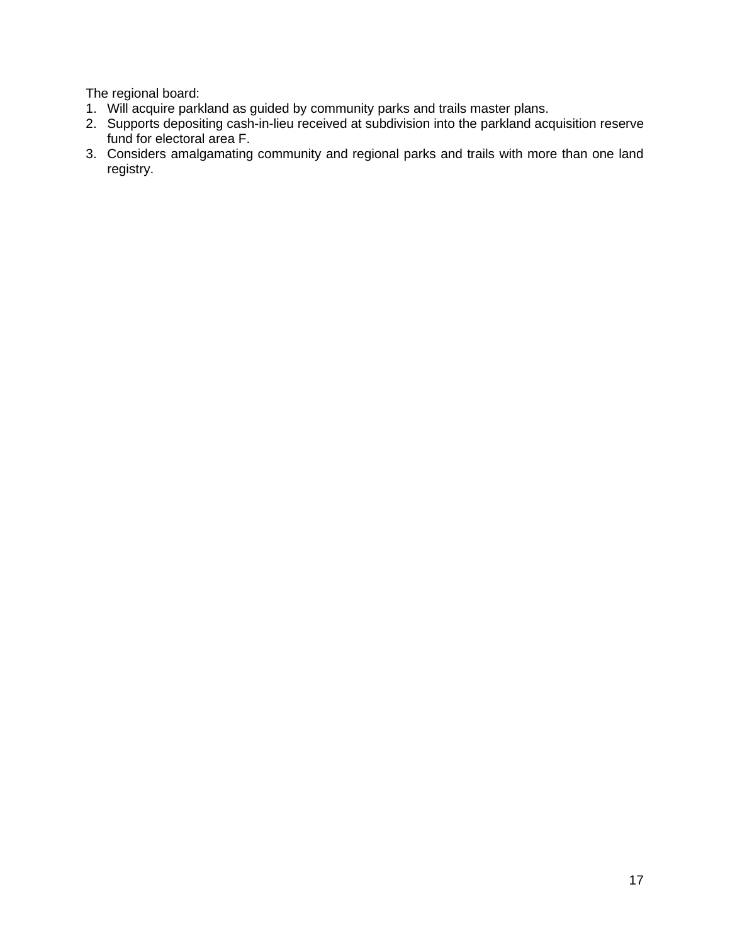The regional board:

- 1. Will acquire parkland as guided by community parks and trails master plans.
- 2. Supports depositing cash-in-lieu received at subdivision into the parkland acquisition reserve fund for electoral area F.
- 3. Considers amalgamating community and regional parks and trails with more than one land registry.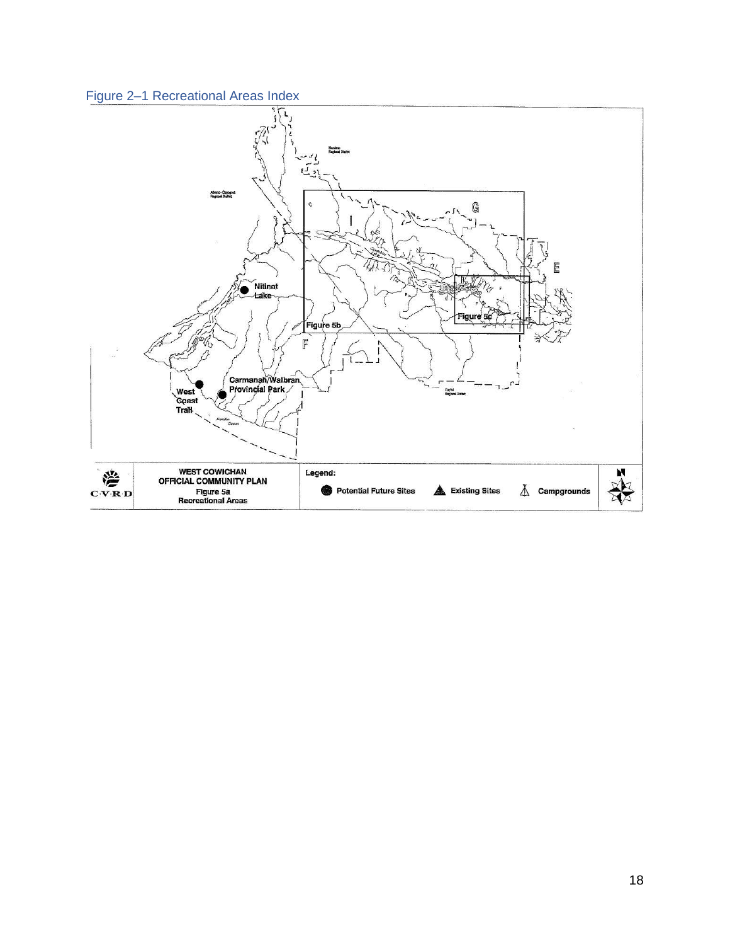<span id="page-19-0"></span>

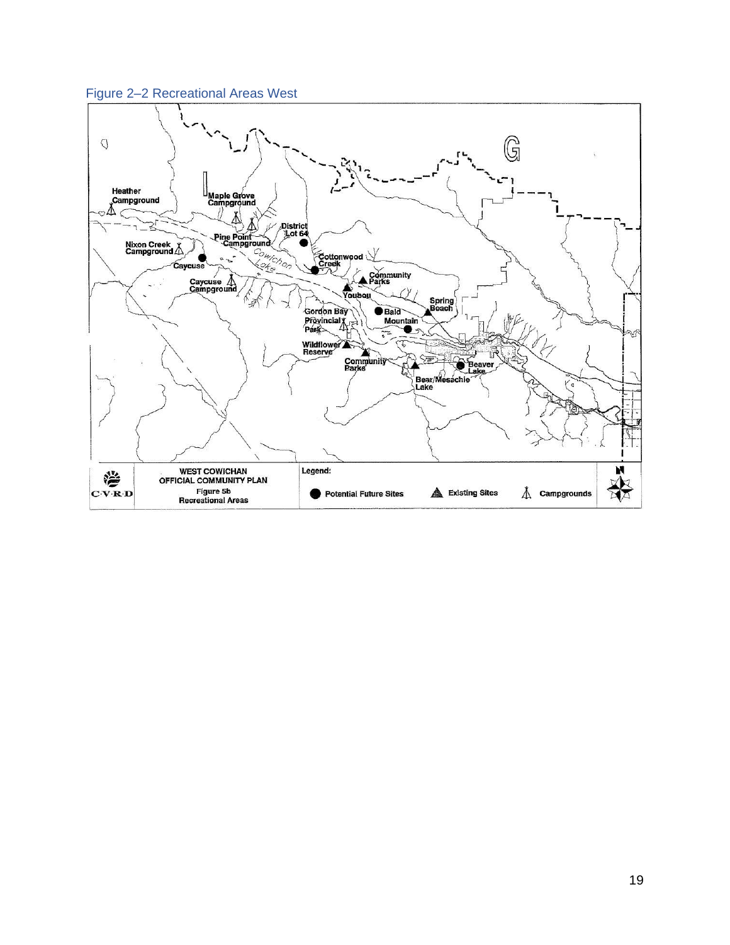

<span id="page-20-0"></span>Figure 2–2 Recreational Areas West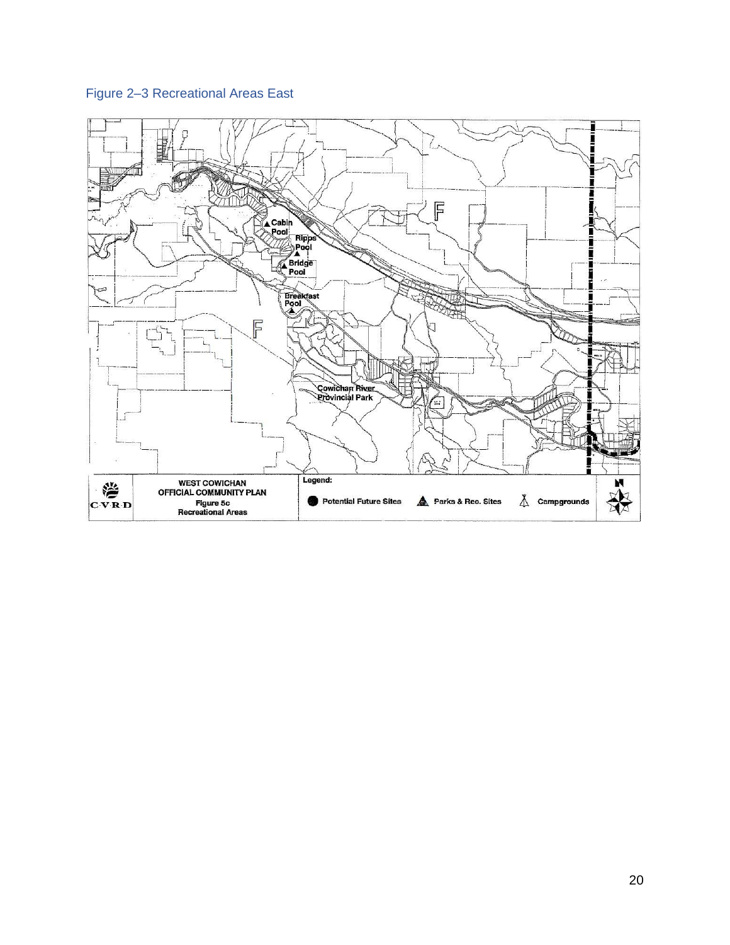# <span id="page-21-0"></span>Figure 2–3 Recreational Areas East

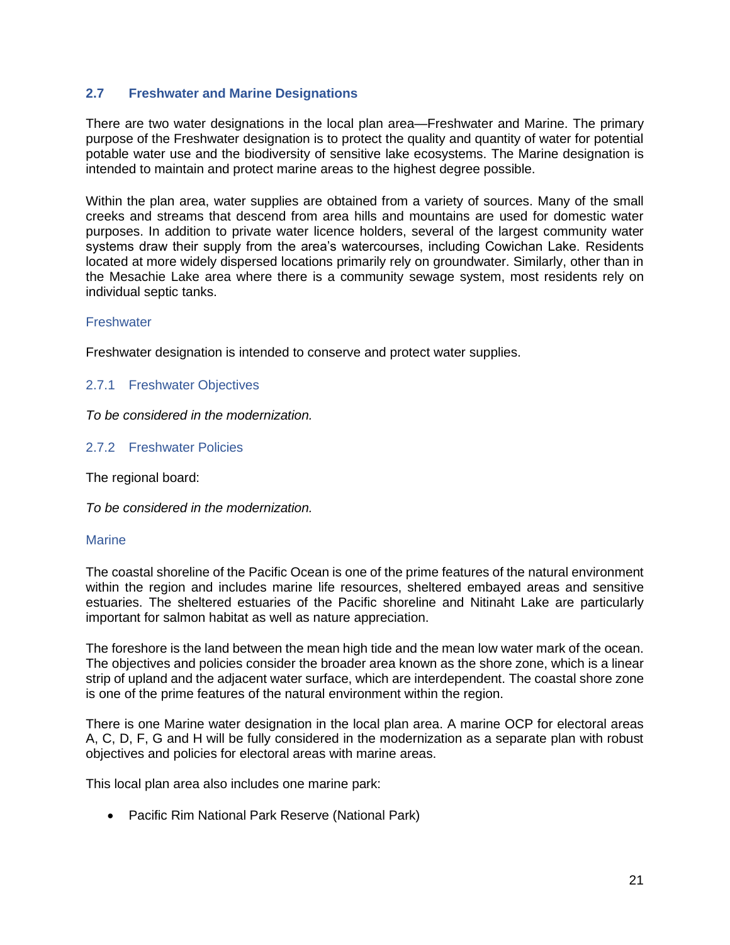## <span id="page-22-0"></span>**2.7 Freshwater and Marine Designations**

There are two water designations in the local plan area—Freshwater and Marine. The primary purpose of the Freshwater designation is to protect the quality and quantity of water for potential potable water use and the biodiversity of sensitive lake ecosystems. The Marine designation is intended to maintain and protect marine areas to the highest degree possible.

Within the plan area, water supplies are obtained from a variety of sources. Many of the small creeks and streams that descend from area hills and mountains are used for domestic water purposes. In addition to private water licence holders, several of the largest community water systems draw their supply from the area's watercourses, including Cowichan Lake. Residents located at more widely dispersed locations primarily rely on groundwater. Similarly, other than in the Mesachie Lake area where there is a community sewage system, most residents rely on individual septic tanks.

#### **Freshwater**

Freshwater designation is intended to conserve and protect water supplies.

### <span id="page-22-1"></span>2.7.1 Freshwater Objectives

*To be considered in the modernization.*

### <span id="page-22-2"></span>2.7.2 Freshwater Policies

The regional board:

*To be considered in the modernization.*

#### **Marine**

The coastal shoreline of the Pacific Ocean is one of the prime features of the natural environment within the region and includes marine life resources, sheltered embayed areas and sensitive estuaries. The sheltered estuaries of the Pacific shoreline and Nitinaht Lake are particularly important for salmon habitat as well as nature appreciation.

The foreshore is the land between the mean high tide and the mean low water mark of the ocean. The objectives and policies consider the broader area known as the shore zone, which is a linear strip of upland and the adjacent water surface, which are interdependent. The coastal shore zone is one of the prime features of the natural environment within the region.

There is one Marine water designation in the local plan area. A marine OCP for electoral areas A, C, D, F, G and H will be fully considered in the modernization as a separate plan with robust objectives and policies for electoral areas with marine areas.

This local plan area also includes one marine park:

• Pacific Rim National Park Reserve (National Park)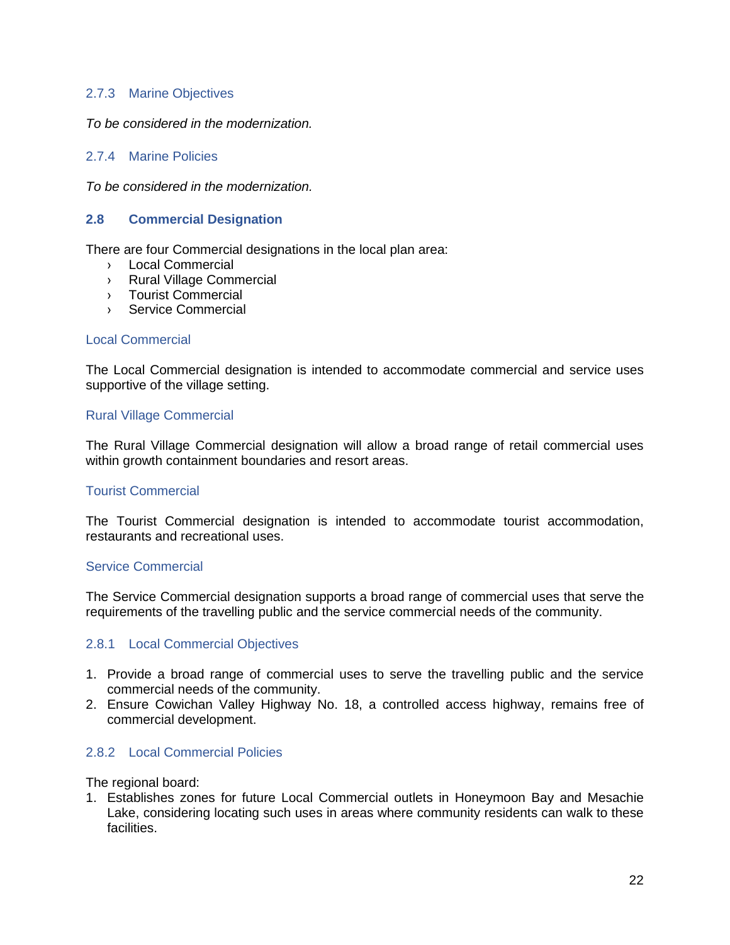## <span id="page-23-0"></span>2.7.3 Marine Objectives

*To be considered in the modernization.*

## <span id="page-23-1"></span>2.7.4 Marine Policies

*To be considered in the modernization.*

### <span id="page-23-2"></span>**2.8 Commercial Designation**

There are four Commercial designations in the local plan area:

- › Local Commercial
- › Rural Village Commercial
- › Tourist Commercial
- › Service Commercial

#### Local Commercial

The Local Commercial designation is intended to accommodate commercial and service uses supportive of the village setting.

#### Rural Village Commercial

The Rural Village Commercial designation will allow a broad range of retail commercial uses within growth containment boundaries and resort areas.

#### Tourist Commercial

The Tourist Commercial designation is intended to accommodate tourist accommodation, restaurants and recreational uses.

#### Service Commercial

The Service Commercial designation supports a broad range of commercial uses that serve the requirements of the travelling public and the service commercial needs of the community.

#### <span id="page-23-3"></span>2.8.1 Local Commercial Objectives

- 1. Provide a broad range of commercial uses to serve the travelling public and the service commercial needs of the community.
- 2. Ensure Cowichan Valley Highway No. 18, a controlled access highway, remains free of commercial development.

#### <span id="page-23-4"></span>2.8.2 Local Commercial Policies

The regional board:

1. Establishes zones for future Local Commercial outlets in Honeymoon Bay and Mesachie Lake, considering locating such uses in areas where community residents can walk to these facilities.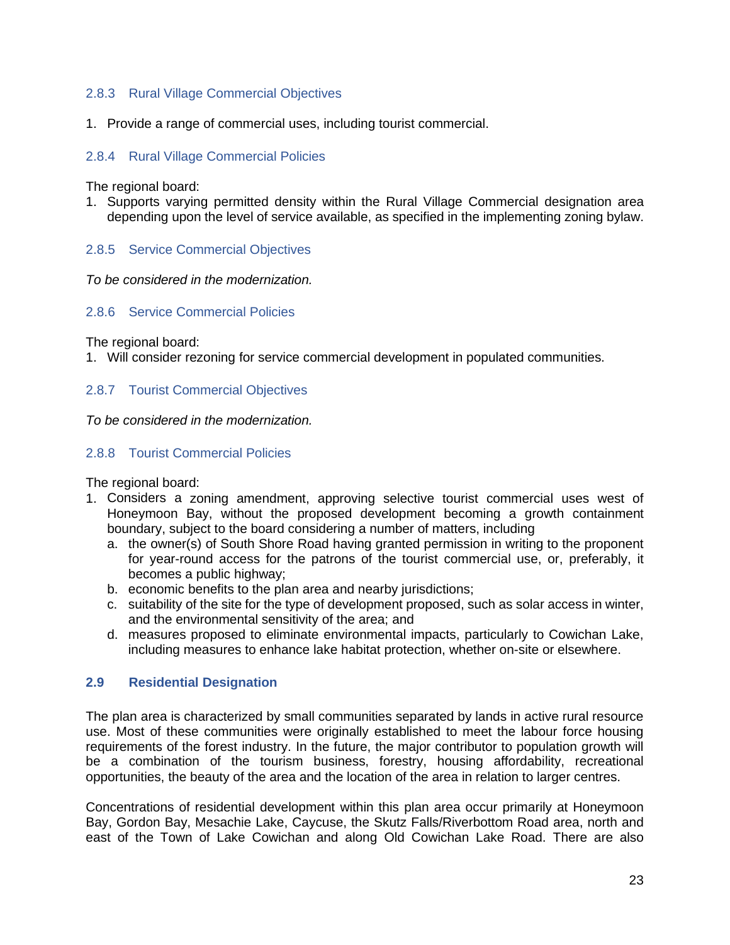## <span id="page-24-0"></span>2.8.3 Rural Village Commercial Objectives

1. Provide a range of commercial uses, including tourist commercial.

## <span id="page-24-1"></span>2.8.4 Rural Village Commercial Policies

The regional board:

1. Supports varying permitted density within the Rural Village Commercial designation area depending upon the level of service available, as specified in the implementing zoning bylaw.

### <span id="page-24-2"></span>2.8.5 Service Commercial Objectives

*To be considered in the modernization.*

#### <span id="page-24-3"></span>2.8.6 Service Commercial Policies

The regional board:

1. Will consider rezoning for service commercial development in populated communities.

#### <span id="page-24-4"></span>2.8.7 Tourist Commercial Objectives

*To be considered in the modernization.*

#### <span id="page-24-5"></span>2.8.8 Tourist Commercial Policies

The regional board:

- 1. Considers a zoning amendment, approving selective tourist commercial uses west of Honeymoon Bay, without the proposed development becoming a growth containment boundary, subject to the board considering a number of matters, including
	- a. the owner(s) of South Shore Road having granted permission in writing to the proponent for year-round access for the patrons of the tourist commercial use, or, preferably, it becomes a public highway;
	- b. economic benefits to the plan area and nearby jurisdictions;
	- c. suitability of the site for the type of development proposed, such as solar access in winter, and the environmental sensitivity of the area; and
	- d. measures proposed to eliminate environmental impacts, particularly to Cowichan Lake, including measures to enhance lake habitat protection, whether on-site or elsewhere.

#### <span id="page-24-6"></span>**2.9 Residential Designation**

The plan area is characterized by small communities separated by lands in active rural resource use. Most of these communities were originally established to meet the labour force housing requirements of the forest industry. In the future, the major contributor to population growth will be a combination of the tourism business, forestry, housing affordability, recreational opportunities, the beauty of the area and the location of the area in relation to larger centres.

Concentrations of residential development within this plan area occur primarily at Honeymoon Bay, Gordon Bay, Mesachie Lake, Caycuse, the Skutz Falls/Riverbottom Road area, north and east of the Town of Lake Cowichan and along Old Cowichan Lake Road. There are also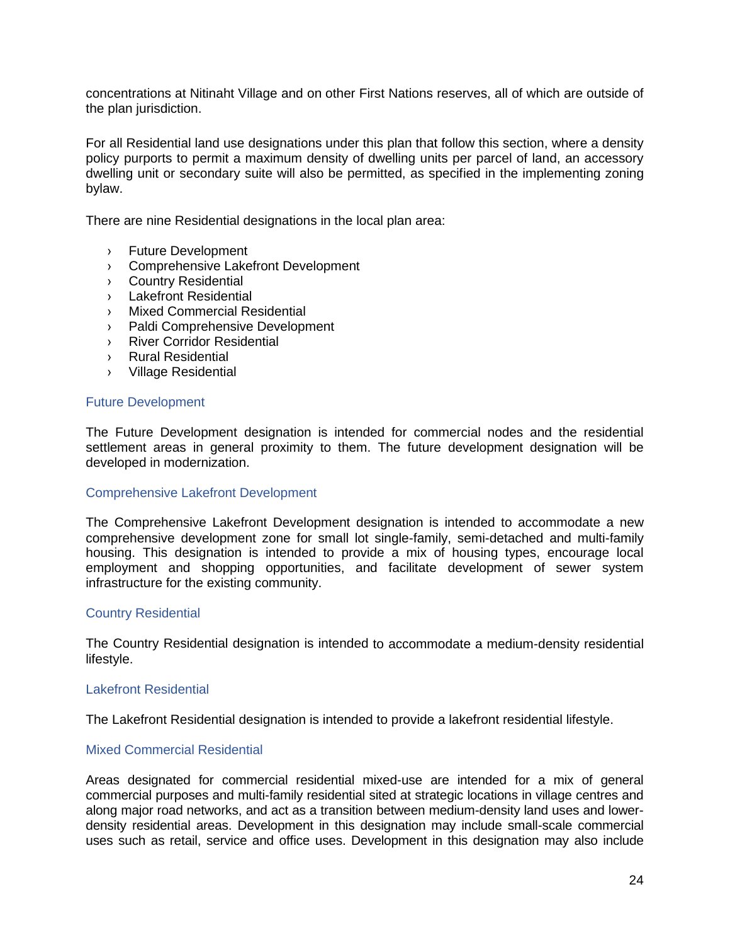concentrations at Nitinaht Village and on other First Nations reserves, all of which are outside of the plan jurisdiction.

For all Residential land use designations under this plan that follow this section, where a density policy purports to permit a maximum density of dwelling units per parcel of land, an accessory dwelling unit or secondary suite will also be permitted, as specified in the implementing zoning bylaw.

There are nine Residential designations in the local plan area:

- › Future Development
- › Comprehensive Lakefront Development
- › Country Residential
- › Lakefront Residential
- › Mixed Commercial Residential
- › Paldi Comprehensive Development
- › River Corridor Residential
- › Rural Residential
- › Village Residential

#### Future Development

The Future Development designation is intended for commercial nodes and the residential settlement areas in general proximity to them. The future development designation will be developed in modernization.

#### Comprehensive Lakefront Development

The Comprehensive Lakefront Development designation is intended to accommodate a new comprehensive development zone for small lot single-family, semi-detached and multi-family housing. This designation is intended to provide a mix of housing types, encourage local employment and shopping opportunities, and facilitate development of sewer system infrastructure for the existing community.

#### Country Residential

The Country Residential designation is intended to accommodate a medium-density residential lifestyle.

#### Lakefront Residential

The Lakefront Residential designation is intended to provide a lakefront residential lifestyle.

#### Mixed Commercial Residential

Areas designated for commercial residential mixed-use are intended for a mix of general commercial purposes and multi-family residential sited at strategic locations in village centres and along major road networks, and act as a transition between medium-density land uses and lowerdensity residential areas. Development in this designation may include small-scale commercial uses such as retail, service and office uses. Development in this designation may also include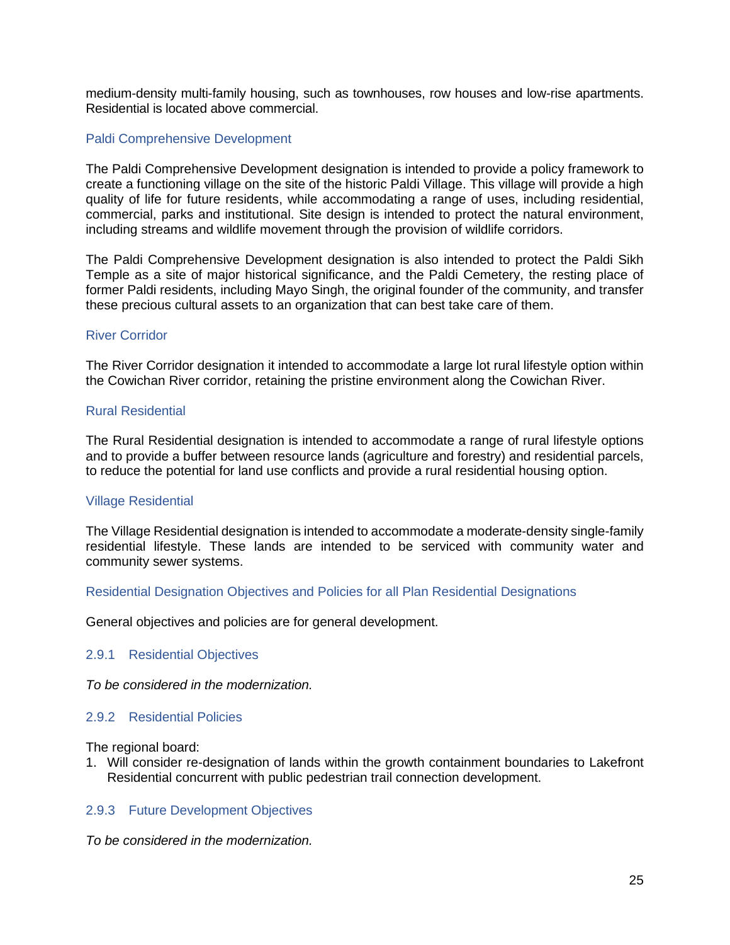medium-density multi-family housing, such as townhouses, row houses and low-rise apartments. Residential is located above commercial.

#### Paldi Comprehensive Development

The Paldi Comprehensive Development designation is intended to provide a policy framework to create a functioning village on the site of the historic Paldi Village. This village will provide a high quality of life for future residents, while accommodating a range of uses, including residential, commercial, parks and institutional. Site design is intended to protect the natural environment, including streams and wildlife movement through the provision of wildlife corridors.

The Paldi Comprehensive Development designation is also intended to protect the Paldi Sikh Temple as a site of major historical significance, and the Paldi Cemetery, the resting place of former Paldi residents, including Mayo Singh, the original founder of the community, and transfer these precious cultural assets to an organization that can best take care of them.

#### River Corridor

The River Corridor designation it intended to accommodate a large lot rural lifestyle option within the Cowichan River corridor, retaining the pristine environment along the Cowichan River.

#### Rural Residential

The Rural Residential designation is intended to accommodate a range of rural lifestyle options and to provide a buffer between resource lands (agriculture and forestry) and residential parcels, to reduce the potential for land use conflicts and provide a rural residential housing option.

#### Village Residential

The Village Residential designation is intended to accommodate a moderate-density single-family residential lifestyle. These lands are intended to be serviced with community water and community sewer systems.

#### Residential Designation Objectives and Policies for all Plan Residential Designations

General objectives and policies are for general development.

#### <span id="page-26-0"></span>2.9.1 Residential Objectives

*To be considered in the modernization.*

#### <span id="page-26-1"></span>2.9.2 Residential Policies

The regional board:

1. Will consider re-designation of lands within the growth containment boundaries to Lakefront Residential concurrent with public pedestrian trail connection development.

#### <span id="page-26-2"></span>2.9.3 Future Development Objectives

*To be considered in the modernization.*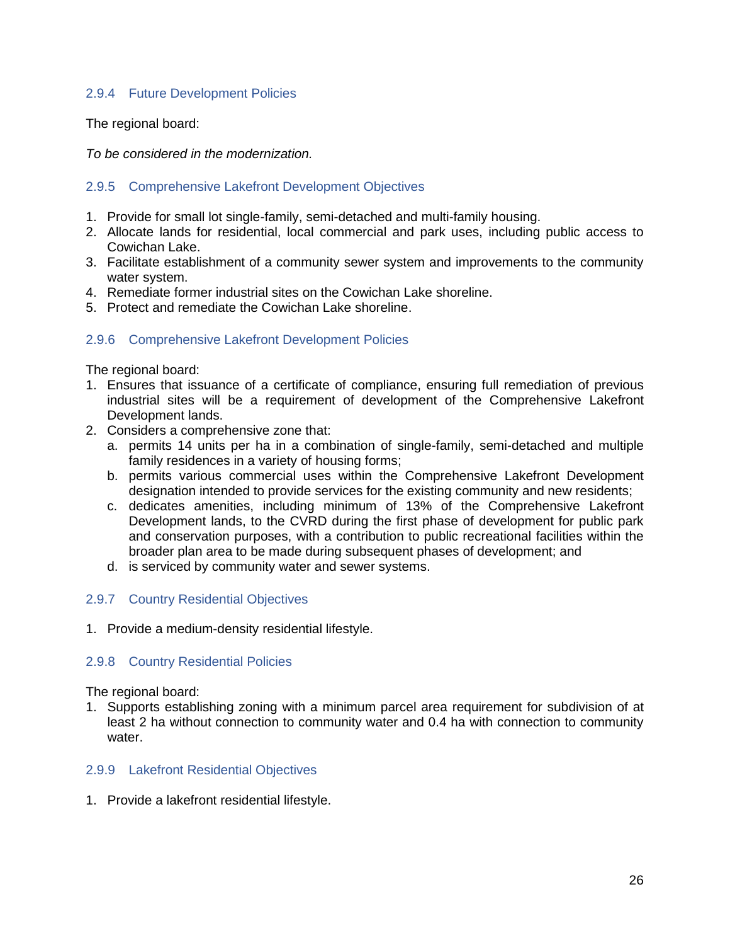## <span id="page-27-0"></span>2.9.4 Future Development Policies

The regional board:

*To be considered in the modernization.*

## <span id="page-27-1"></span>2.9.5 Comprehensive Lakefront Development Objectives

- 1. Provide for small lot single-family, semi-detached and multi-family housing.
- 2. Allocate lands for residential, local commercial and park uses, including public access to Cowichan Lake.
- 3. Facilitate establishment of a community sewer system and improvements to the community water system.
- 4. Remediate former industrial sites on the Cowichan Lake shoreline.
- 5. Protect and remediate the Cowichan Lake shoreline.

## <span id="page-27-2"></span>2.9.6 Comprehensive Lakefront Development Policies

The regional board:

- 1. Ensures that issuance of a certificate of compliance, ensuring full remediation of previous industrial sites will be a requirement of development of the Comprehensive Lakefront Development lands.
- 2. Considers a comprehensive zone that:
	- a. permits 14 units per ha in a combination of single-family, semi-detached and multiple family residences in a variety of housing forms;
	- b. permits various commercial uses within the Comprehensive Lakefront Development designation intended to provide services for the existing community and new residents;
	- c. dedicates amenities, including minimum of 13% of the Comprehensive Lakefront Development lands, to the CVRD during the first phase of development for public park and conservation purposes, with a contribution to public recreational facilities within the broader plan area to be made during subsequent phases of development; and
	- d. is serviced by community water and sewer systems.

## <span id="page-27-3"></span>2.9.7 Country Residential Objectives

1. Provide a medium-density residential lifestyle.

#### <span id="page-27-4"></span>2.9.8 Country Residential Policies

The regional board:

1. Supports establishing zoning with a minimum parcel area requirement for subdivision of at least 2 ha without connection to community water and 0.4 ha with connection to community water.

#### <span id="page-27-5"></span>2.9.9 Lakefront Residential Objectives

1. Provide a lakefront residential lifestyle.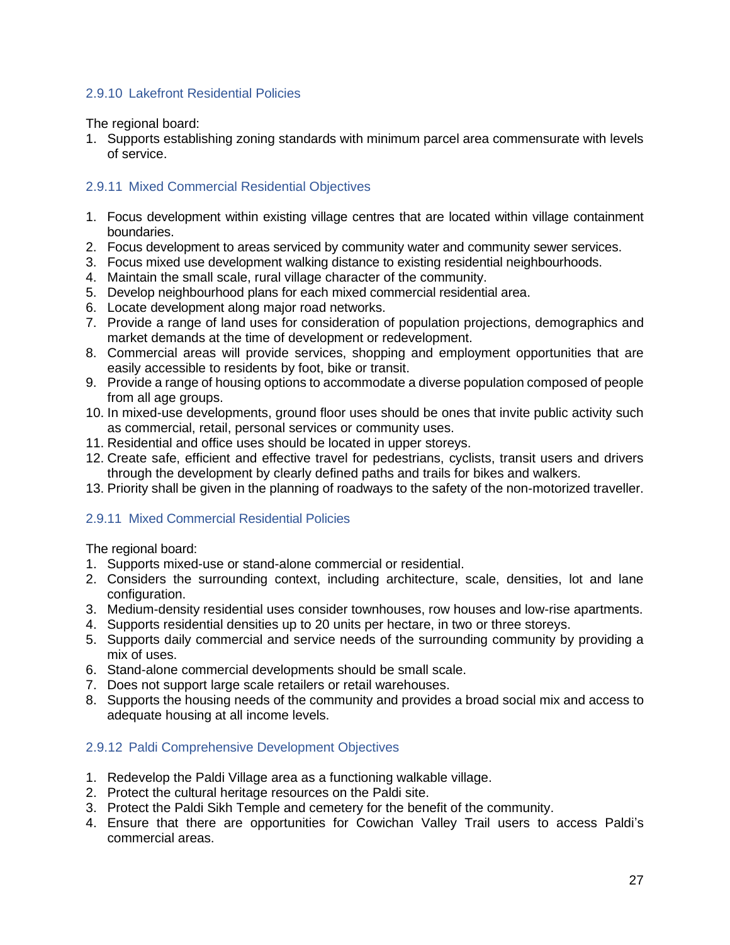## <span id="page-28-0"></span>2.9.10 Lakefront Residential Policies

The regional board:

1. Supports establishing zoning standards with minimum parcel area commensurate with levels of service.

## <span id="page-28-1"></span>2.9.11 Mixed Commercial Residential Objectives

- 1. Focus development within existing village centres that are located within village containment boundaries.
- 2. Focus development to areas serviced by community water and community sewer services.
- 3. Focus mixed use development walking distance to existing residential neighbourhoods.
- 4. Maintain the small scale, rural village character of the community.
- 5. Develop neighbourhood plans for each mixed commercial residential area.
- 6. Locate development along major road networks.
- 7. Provide a range of land uses for consideration of population projections, demographics and market demands at the time of development or redevelopment.
- 8. Commercial areas will provide services, shopping and employment opportunities that are easily accessible to residents by foot, bike or transit.
- 9. Provide a range of housing options to accommodate a diverse population composed of people from all age groups.
- 10. In mixed-use developments, ground floor uses should be ones that invite public activity such as commercial, retail, personal services or community uses.
- 11. Residential and office uses should be located in upper storeys.
- 12. Create safe, efficient and effective travel for pedestrians, cyclists, transit users and drivers through the development by clearly defined paths and trails for bikes and walkers.
- 13. Priority shall be given in the planning of roadways to the safety of the non-motorized traveller.

## 2.9.11 Mixed Commercial Residential Policies

The regional board:

- 1. Supports mixed-use or stand-alone commercial or residential.
- 2. Considers the surrounding context, including architecture, scale, densities, lot and lane configuration.
- 3. Medium-density residential uses consider townhouses, row houses and low-rise apartments.
- 4. Supports residential densities up to 20 units per hectare, in two or three storeys.
- 5. Supports daily commercial and service needs of the surrounding community by providing a mix of uses.
- 6. Stand-alone commercial developments should be small scale.
- 7. Does not support large scale retailers or retail warehouses.
- 8. Supports the housing needs of the community and provides a broad social mix and access to adequate housing at all income levels.

## <span id="page-28-2"></span>2.9.12 Paldi Comprehensive Development Objectives

- 1. Redevelop the Paldi Village area as a functioning walkable village.
- 2. Protect the cultural heritage resources on the Paldi site.
- 3. Protect the Paldi Sikh Temple and cemetery for the benefit of the community.
- 4. Ensure that there are opportunities for Cowichan Valley Trail users to access Paldi's commercial areas.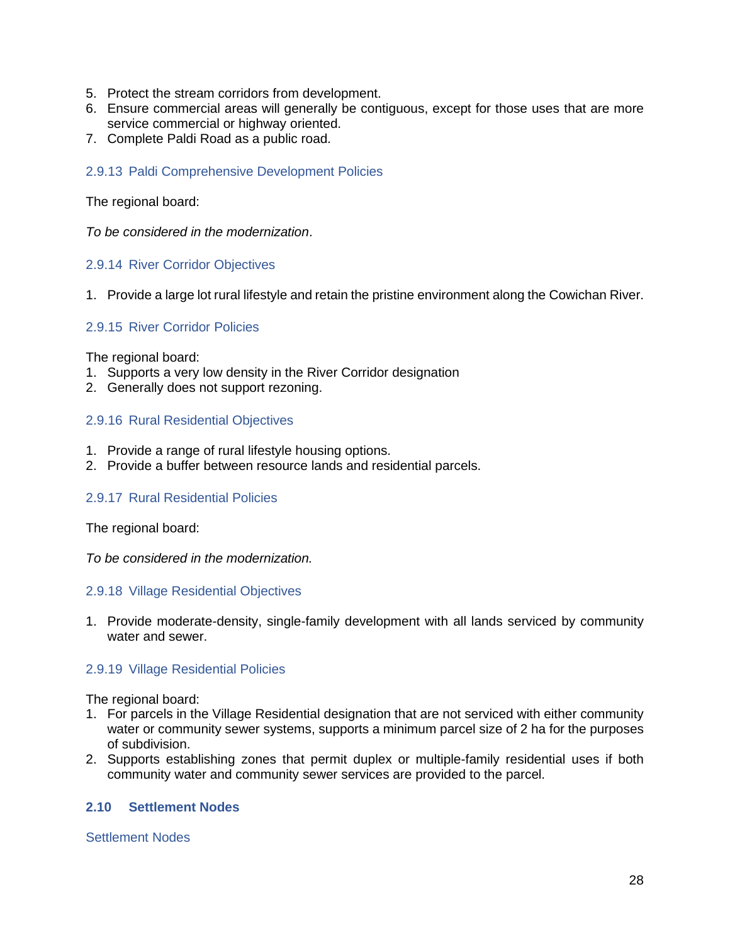- 5. Protect the stream corridors from development.
- 6. Ensure commercial areas will generally be contiguous, except for those uses that are more service commercial or highway oriented.
- 7. Complete Paldi Road as a public road.

### <span id="page-29-0"></span>2.9.13 Paldi Comprehensive Development Policies

#### The regional board:

*To be considered in the modernization*.

#### <span id="page-29-1"></span>2.9.14 River Corridor Objectives

1. Provide a large lot rural lifestyle and retain the pristine environment along the Cowichan River.

### <span id="page-29-2"></span>2.9.15 River Corridor Policies

The regional board:

- 1. Supports a very low density in the River Corridor designation
- 2. Generally does not support rezoning.

### <span id="page-29-3"></span>2.9.16 Rural Residential Objectives

- 1. Provide a range of rural lifestyle housing options.
- 2. Provide a buffer between resource lands and residential parcels.

#### <span id="page-29-4"></span>2.9.17 Rural Residential Policies

The regional board:

*To be considered in the modernization.*

#### <span id="page-29-5"></span>2.9.18 Village Residential Objectives

1. Provide moderate-density, single-family development with all lands serviced by community water and sewer.

#### <span id="page-29-6"></span>2.9.19 Village Residential Policies

The regional board:

- 1. For parcels in the Village Residential designation that are not serviced with either community water or community sewer systems, supports a minimum parcel size of 2 ha for the purposes of subdivision.
- 2. Supports establishing zones that permit duplex or multiple-family residential uses if both community water and community sewer services are provided to the parcel.

## <span id="page-29-7"></span>**2.10 Settlement Nodes**

#### Settlement Nodes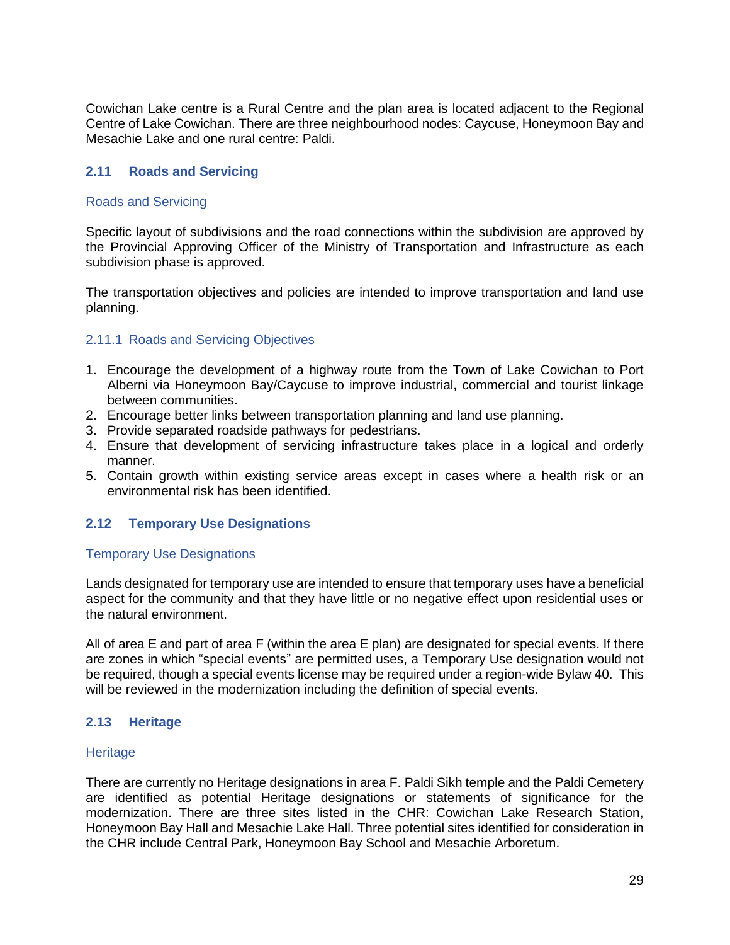Cowichan Lake centre is a Rural Centre and the plan area is located adjacent to the Regional Centre of Lake Cowichan. There are three neighbourhood nodes: Caycuse, Honeymoon Bay and Mesachie Lake and one rural centre: Paldi.

## <span id="page-30-0"></span>**2.11 Roads and Servicing**

#### Roads and Servicing

Specific layout of subdivisions and the road connections within the subdivision are approved by the Provincial Approving Officer of the Ministry of Transportation and Infrastructure as each subdivision phase is approved.

The transportation objectives and policies are intended to improve transportation and land use planning.

#### <span id="page-30-1"></span>2.11.1 Roads and Servicing Objectives

- 1. Encourage the development of a highway route from the Town of Lake Cowichan to Port Alberni via Honeymoon Bay/Caycuse to improve industrial, commercial and tourist linkage between communities.
- 2. Encourage better links between transportation planning and land use planning.
- 3. Provide separated roadside pathways for pedestrians.
- 4. Ensure that development of servicing infrastructure takes place in a logical and orderly manner.
- 5. Contain growth within existing service areas except in cases where a health risk or an environmental risk has been identified.

#### <span id="page-30-2"></span>**2.12 Temporary Use Designations**

#### Temporary Use Designations

Lands designated for temporary use are intended to ensure that temporary uses have a beneficial aspect for the community and that they have little or no negative effect upon residential uses or the natural environment.

All of area E and part of area F (within the area E plan) are designated for special events. If there are zones in which "special events" are permitted uses, a Temporary Use designation would not be required, though a special events license may be required under a region-wide Bylaw 40. This will be reviewed in the modernization including the definition of special events.

#### <span id="page-30-3"></span>**2.13 Heritage**

#### **Heritage**

There are currently no Heritage designations in area F. Paldi Sikh temple and the Paldi Cemetery are identified as potential Heritage designations or statements of significance for the modernization. There are three sites listed in the CHR: Cowichan Lake Research Station, Honeymoon Bay Hall and Mesachie Lake Hall. Three potential sites identified for consideration in the CHR include Central Park, Honeymoon Bay School and Mesachie Arboretum.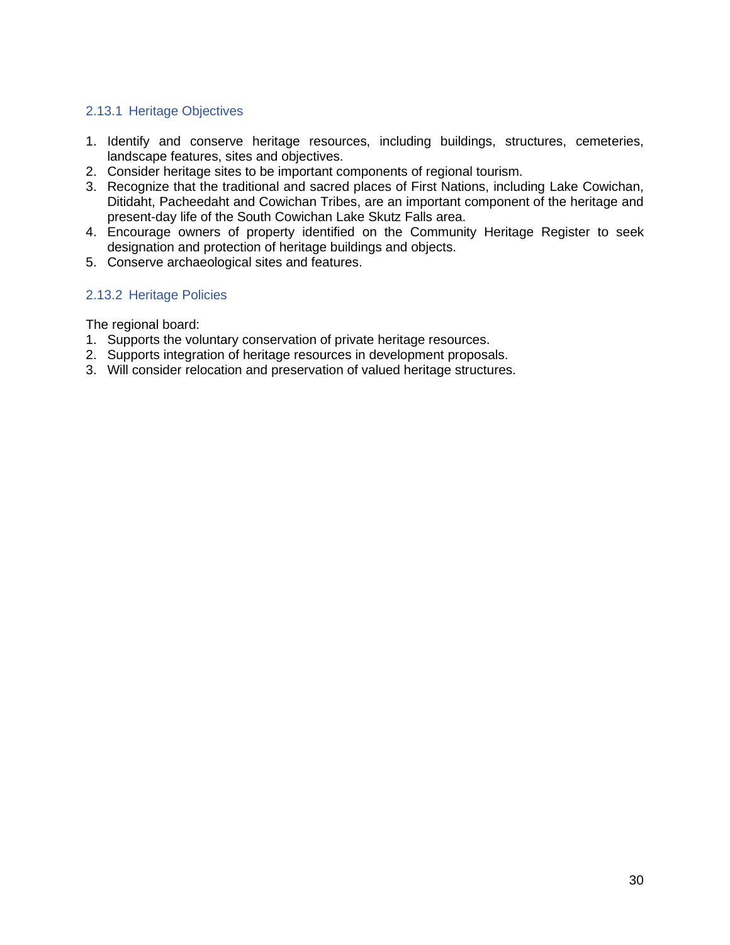## <span id="page-31-0"></span>2.13.1 Heritage Objectives

- 1. Identify and conserve heritage resources, including buildings, structures, cemeteries, landscape features, sites and objectives.
- 2. Consider heritage sites to be important components of regional tourism.
- 3. Recognize that the traditional and sacred places of First Nations, including Lake Cowichan, Ditidaht, Pacheedaht and Cowichan Tribes, are an important component of the heritage and present-day life of the South Cowichan Lake Skutz Falls area.
- 4. Encourage owners of property identified on the Community Heritage Register to seek designation and protection of heritage buildings and objects.
- 5. Conserve archaeological sites and features.

## <span id="page-31-1"></span>2.13.2 Heritage Policies

The regional board:

- 1. Supports the voluntary conservation of private heritage resources.
- 2. Supports integration of heritage resources in development proposals.
- 3. Will consider relocation and preservation of valued heritage structures.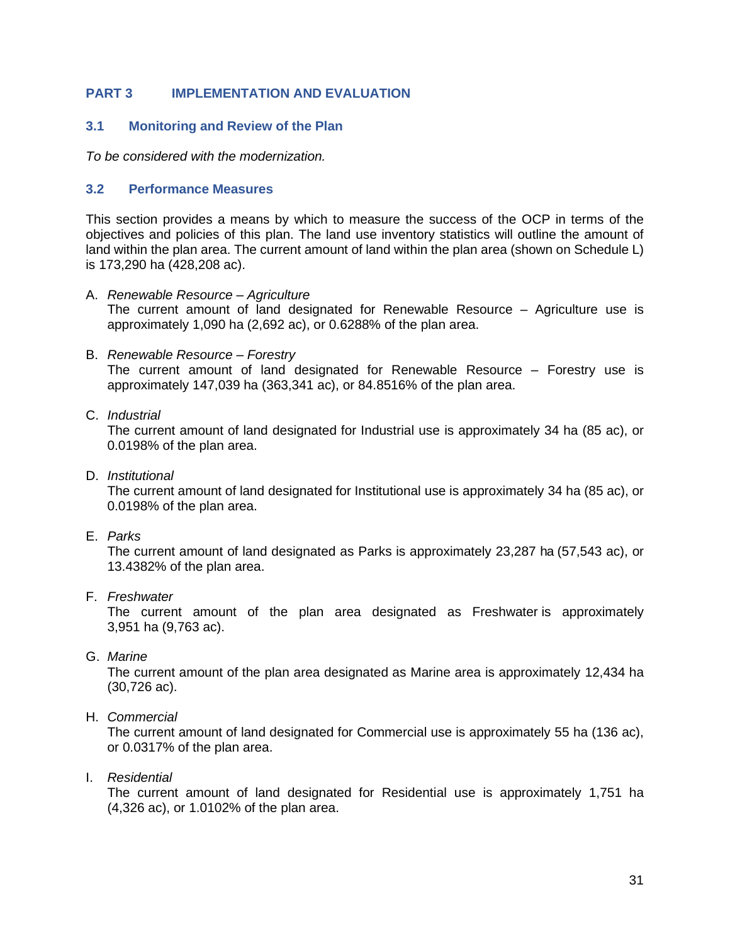## <span id="page-32-0"></span>**PART 3 IMPLEMENTATION AND EVALUATION**

## <span id="page-32-1"></span>**3.1 Monitoring and Review of the Plan**

*To be considered with the modernization.*

### <span id="page-32-2"></span>**3.2 Performance Measures**

This section provides a means by which to measure the success of the OCP in terms of the objectives and policies of this plan. The land use inventory statistics will outline the amount of land within the plan area. The current amount of land within the plan area (shown on Schedule L) is 173,290 ha (428,208 ac).

- A. *Renewable Resource – Agriculture* The current amount of land designated for Renewable Resource – Agriculture use is approximately 1,090 ha (2,692 ac), or 0.6288% of the plan area.
- B. *Renewable Resource – Forestry*

The current amount of land designated for Renewable Resource – Forestry use is approximately 147,039 ha (363,341 ac), or 84.8516% of the plan area.

### C. *Industrial*

The current amount of land designated for Industrial use is approximately 34 ha (85 ac), or 0.0198% of the plan area.

D. *Institutional*

The current amount of land designated for Institutional use is approximately 34 ha (85 ac), or 0.0198% of the plan area.

E. *Parks*

The current amount of land designated as Parks is approximately 23,287 ha (57,543 ac), or 13.4382% of the plan area.

F. *Freshwater*

The current amount of the plan area designated as Freshwater is approximately 3,951 ha (9,763 ac).

G. *Marine*

The current amount of the plan area designated as Marine area is approximately 12,434 ha (30,726 ac).

H. *Commercial*

The current amount of land designated for Commercial use is approximately 55 ha (136 ac), or 0.0317% of the plan area.

I. *Residential*

The current amount of land designated for Residential use is approximately 1,751 ha (4,326 ac), or 1.0102% of the plan area.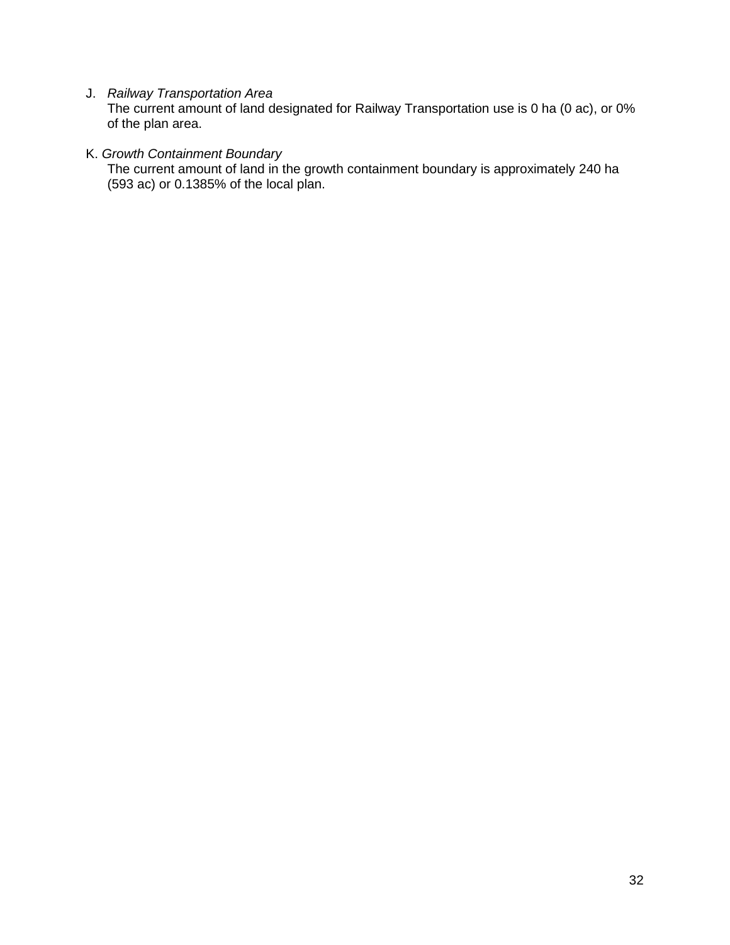J. *Railway Transportation Area*

The current amount of land designated for Railway Transportation use is 0 ha (0 ac), or 0% of the plan area.

# K. *Growth Containment Boundary*

The current amount of land in the growth containment boundary is approximately 240 ha (593 ac) or 0.1385% of the local plan.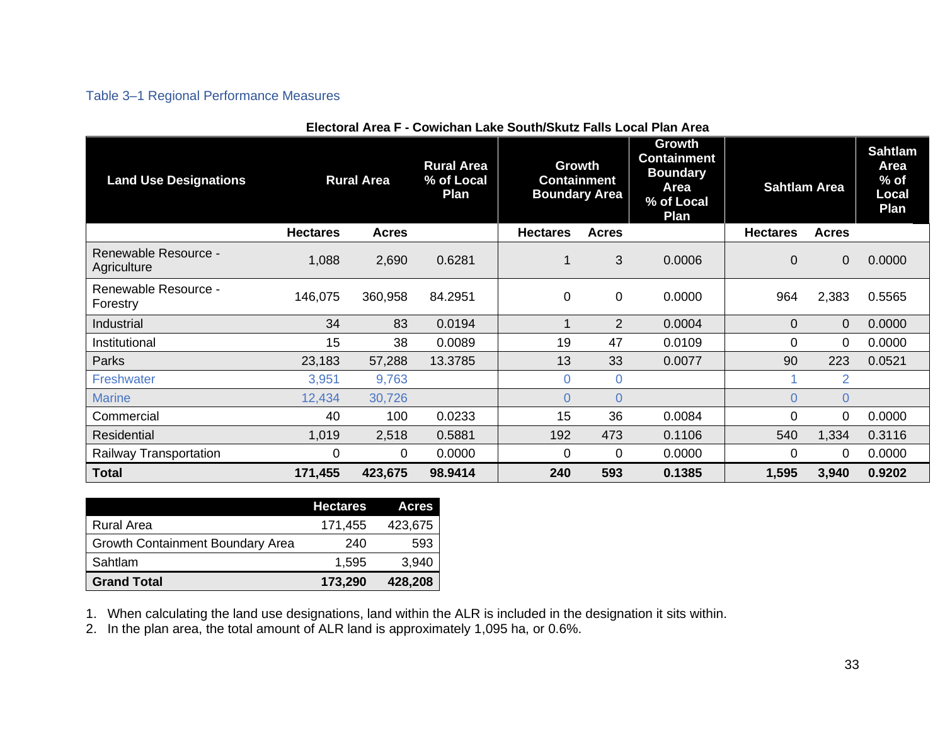## Table 3–1 Regional Performance Measures

<span id="page-34-0"></span>

| <b>Land Use Designations</b>        |                 | <b>Rural Area</b><br><b>Rural Area</b><br>% of Local<br>Plan |         | <b>Growth</b><br><b>Containment</b><br><b>Boundary Area</b> |                | Growth<br><b>Containment</b><br><b>Boundary</b><br>Area<br>% of Local<br>Plan | <b>Sahtlam Area</b> |                | <b>Sahtlam</b><br><b>Area</b><br>$%$ of<br>Local<br>Plan |
|-------------------------------------|-----------------|--------------------------------------------------------------|---------|-------------------------------------------------------------|----------------|-------------------------------------------------------------------------------|---------------------|----------------|----------------------------------------------------------|
|                                     | <b>Hectares</b> | <b>Acres</b>                                                 |         | <b>Hectares</b>                                             | <b>Acres</b>   |                                                                               | <b>Hectares</b>     | <b>Acres</b>   |                                                          |
| Renewable Resource -<br>Agriculture | 1,088           | 2,690                                                        | 0.6281  |                                                             | 3              | 0.0006                                                                        | $\Omega$            | 0              | 0.0000                                                   |
| Renewable Resource -<br>Forestry    | 146,075         | 360,958                                                      | 84.2951 | $\mathbf 0$                                                 | 0              | 0.0000                                                                        | 964                 | 2,383          | 0.5565                                                   |
| Industrial                          | 34              | 83                                                           | 0.0194  |                                                             | $\overline{2}$ | 0.0004                                                                        | $\Omega$            | 0              | 0.0000                                                   |
| Institutional                       | 15              | 38                                                           | 0.0089  | 19                                                          | 47             | 0.0109                                                                        | 0                   | 0              | 0.0000                                                   |
| Parks                               | 23,183          | 57,288                                                       | 13.3785 | 13                                                          | 33             | 0.0077                                                                        | 90                  | 223            | 0.0521                                                   |
| Freshwater                          | 3,951           | 9,763                                                        |         | $\overline{0}$                                              | $\Omega$       |                                                                               |                     | 2              |                                                          |
| <b>Marine</b>                       | 12,434          | 30,726                                                       |         | $\Omega$                                                    | $\Omega$       |                                                                               | 0                   | $\overline{0}$ |                                                          |
| Commercial                          | 40              | 100                                                          | 0.0233  | 15                                                          | 36             | 0.0084                                                                        | 0                   | 0              | 0.0000                                                   |
| <b>Residential</b>                  | 1,019           | 2,518                                                        | 0.5881  | 192                                                         | 473            | 0.1106                                                                        | 540                 | 1,334          | 0.3116                                                   |
| Railway Transportation              | 0               | $\Omega$                                                     | 0.0000  | $\Omega$                                                    | 0              | 0.0000                                                                        | 0                   | 0              | 0.0000                                                   |
| <b>Total</b>                        | 171,455         | 423,675                                                      | 98.9414 | 240                                                         | 593            | 0.1385                                                                        | 1,595               | 3,940          | 0.9202                                                   |

|  | Electoral Area F - Cowichan Lake South/Skutz Falls Local Plan Area |  |
|--|--------------------------------------------------------------------|--|
|  |                                                                    |  |

|                                         | <b>Hectares</b> | <b>Acres</b> |
|-----------------------------------------|-----------------|--------------|
| <b>Rural Area</b>                       | 171,455         | 423,675      |
| <b>Growth Containment Boundary Area</b> | 240             | 593          |
| Sahtlam                                 | 1.595           | 3,940        |
| <b>Grand Total</b>                      | 173,290         | 428,208      |

1. When calculating the land use designations, land within the ALR is included in the designation it sits within.

2. In the plan area, the total amount of ALR land is approximately 1,095 ha, or 0.6%.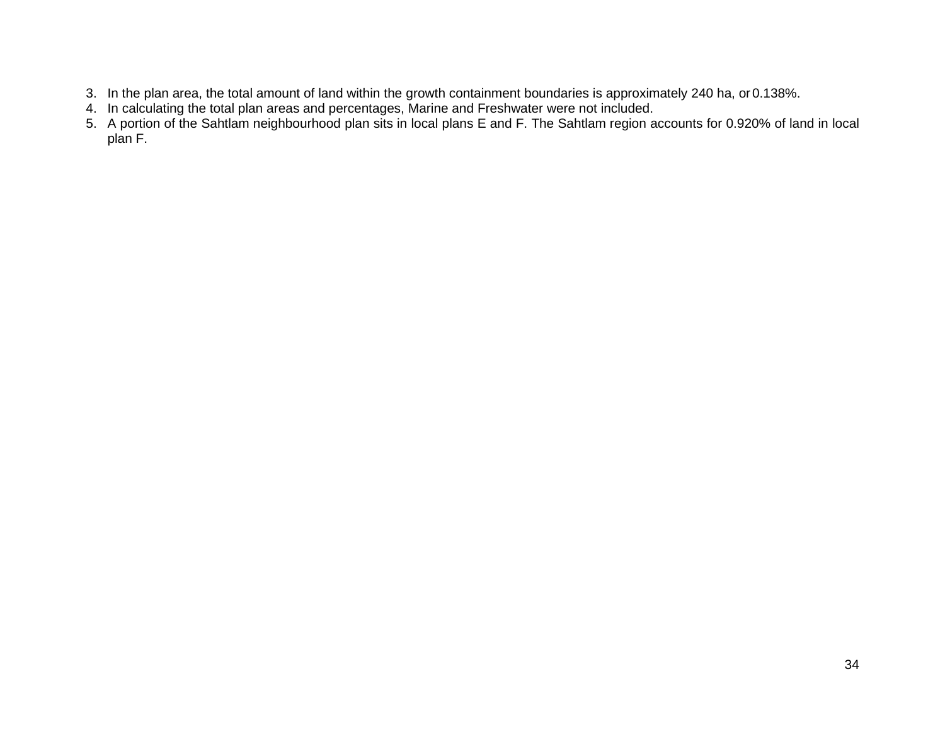- 3. In the plan area, the total amount of land within the growth containment boundaries is approximately 240 ha, or0.138%.
- 4. In calculating the total plan areas and percentages, Marine and Freshwater were not included.
- 5. A portion of the Sahtlam neighbourhood plan sits in local plans E and F. The Sahtlam region accounts for 0.920% of land in local plan F.